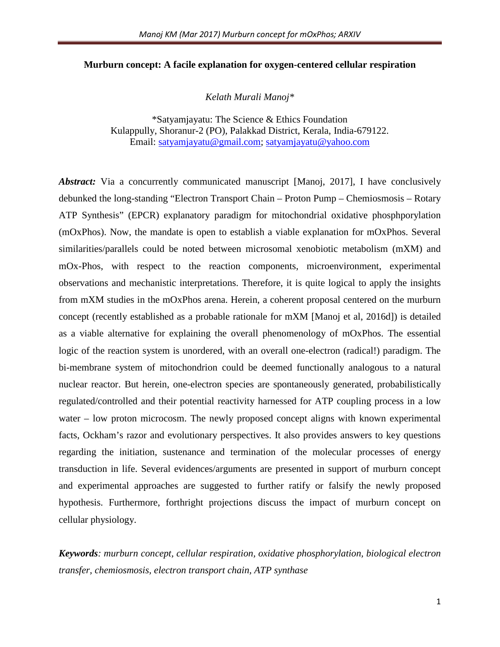### **Murburn concept: A facile explanation for oxygen-centered cellular respiration**

*Kelath Murali Manoj\** 

\*Satyamjayatu: The Science & Ethics Foundation Kulappully, Shoranur-2 (PO), Palakkad District, Kerala, India-679122. Email: [satyamjayatu@gmail.com;](mailto:satyamjayatu@gmail.com) [satyamjayatu@yahoo.com](mailto:satyamjayatu@yahoo.com)

*Abstract:* Via a concurrently communicated manuscript [Manoj, 2017], I have conclusively debunked the long-standing "Electron Transport Chain – Proton Pump – Chemiosmosis – Rotary ATP Synthesis" (EPCR) explanatory paradigm for mitochondrial oxidative phosphporylation (mOxPhos). Now, the mandate is open to establish a viable explanation for mOxPhos. Several similarities/parallels could be noted between microsomal xenobiotic metabolism (mXM) and mOx-Phos, with respect to the reaction components, microenvironment, experimental observations and mechanistic interpretations. Therefore, it is quite logical to apply the insights from mXM studies in the mOxPhos arena. Herein, a coherent proposal centered on the murburn concept (recently established as a probable rationale for mXM [Manoj et al, 2016d]) is detailed as a viable alternative for explaining the overall phenomenology of mOxPhos. The essential logic of the reaction system is unordered, with an overall one-electron (radical!) paradigm. The bi-membrane system of mitochondrion could be deemed functionally analogous to a natural nuclear reactor. But herein, one-electron species are spontaneously generated, probabilistically regulated/controlled and their potential reactivity harnessed for ATP coupling process in a low water – low proton microcosm. The newly proposed concept aligns with known experimental facts, Ockham's razor and evolutionary perspectives. It also provides answers to key questions regarding the initiation, sustenance and termination of the molecular processes of energy transduction in life. Several evidences/arguments are presented in support of murburn concept and experimental approaches are suggested to further ratify or falsify the newly proposed hypothesis. Furthermore, forthright projections discuss the impact of murburn concept on cellular physiology.

*Keywords: murburn concept, cellular respiration, oxidative phosphorylation, biological electron transfer, chemiosmosis, electron transport chain, ATP synthase*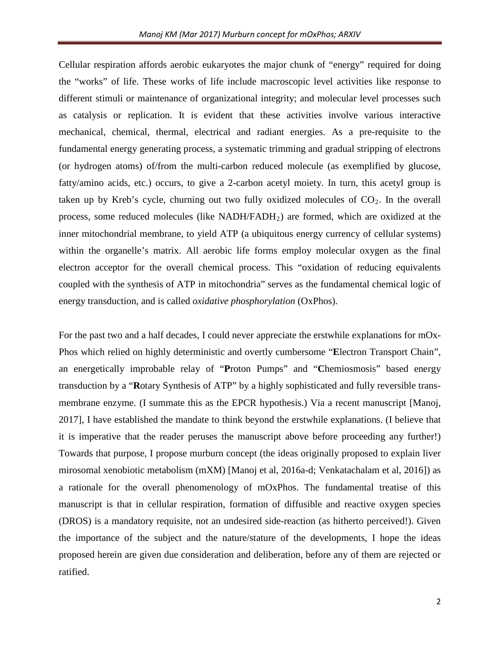Cellular respiration affords aerobic eukaryotes the major chunk of "energy" required for doing the "works" of life. These works of life include macroscopic level activities like response to different stimuli or maintenance of organizational integrity; and molecular level processes such as catalysis or replication. It is evident that these activities involve various interactive mechanical, chemical, thermal, electrical and radiant energies. As a pre-requisite to the fundamental energy generating process, a systematic trimming and gradual stripping of electrons (or hydrogen atoms) of/from the multi-carbon reduced molecule (as exemplified by glucose, fatty/amino acids, etc.) occurs, to give a 2-carbon acetyl moiety. In turn, this acetyl group is taken up by Kreb's cycle, churning out two fully oxidized molecules of  $CO<sub>2</sub>$ . In the overall process, some reduced molecules (like NADH/FADH2) are formed, which are oxidized at the inner mitochondrial membrane, to yield ATP (a ubiquitous energy currency of cellular systems) within the organelle's matrix. All aerobic life forms employ molecular oxygen as the final electron acceptor for the overall chemical process. This "oxidation of reducing equivalents coupled with the synthesis of ATP in mitochondria" serves as the fundamental chemical logic of energy transduction, and is called *oxidative phosphorylation* (OxPhos).

For the past two and a half decades, I could never appreciate the erstwhile explanations for mOx-Phos which relied on highly deterministic and overtly cumbersome "**E**lectron Transport Chain", an energetically improbable relay of "**P**roton Pumps" and "**C**hemiosmosis" based energy transduction by a "**R**otary Synthesis of ATP" by a highly sophisticated and fully reversible transmembrane enzyme. (I summate this as the EPCR hypothesis.) Via a recent manuscript [Manoj, 2017], I have established the mandate to think beyond the erstwhile explanations. (I believe that it is imperative that the reader peruses the manuscript above before proceeding any further!) Towards that purpose, I propose murburn concept (the ideas originally proposed to explain liver mirosomal xenobiotic metabolism (mXM) [Manoj et al, 2016a-d; Venkatachalam et al, 2016]) as a rationale for the overall phenomenology of mOxPhos. The fundamental treatise of this manuscript is that in cellular respiration, formation of diffusible and reactive oxygen species (DROS) is a mandatory requisite, not an undesired side-reaction (as hitherto perceived!). Given the importance of the subject and the nature/stature of the developments, I hope the ideas proposed herein are given due consideration and deliberation, before any of them are rejected or ratified.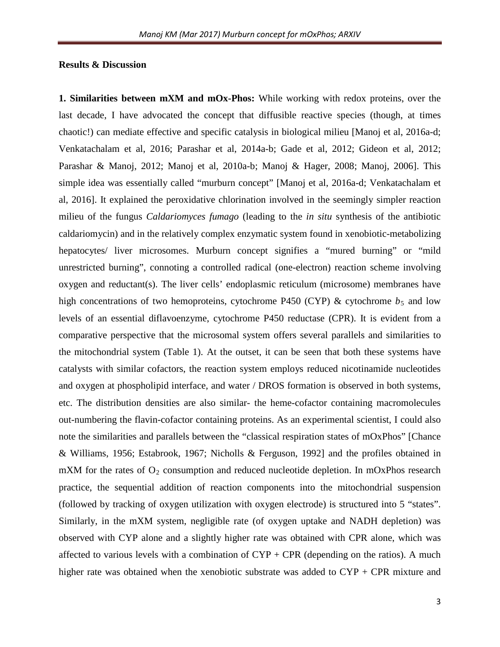### **Results & Discussion**

**1. Similarities between mXM and mOx-Phos:** While working with redox proteins, over the last decade, I have advocated the concept that diffusible reactive species (though, at times chaotic!) can mediate effective and specific catalysis in biological milieu [Manoj et al, 2016a-d; Venkatachalam et al, 2016; Parashar et al, 2014a-b; Gade et al, 2012; Gideon et al, 2012; Parashar & Manoj, 2012; Manoj et al, 2010a-b; Manoj & Hager, 2008; Manoj, 2006]. This simple idea was essentially called "murburn concept" [Manoj et al, 2016a-d; Venkatachalam et al, 2016]. It explained the peroxidative chlorination involved in the seemingly simpler reaction milieu of the fungus *Caldariomyces fumago* (leading to the *in situ* synthesis of the antibiotic caldariomycin) and in the relatively complex enzymatic system found in xenobiotic-metabolizing hepatocytes/ liver microsomes. Murburn concept signifies a "mured burning" or "mild unrestricted burning", connoting a controlled radical (one-electron) reaction scheme involving oxygen and reductant(s). The liver cells' endoplasmic reticulum (microsome) membranes have high concentrations of two hemoproteins, cytochrome P450 (CYP)  $\&$  cytochrome  $b_5$  and low levels of an essential diflavoenzyme, cytochrome P450 reductase (CPR). It is evident from a comparative perspective that the microsomal system offers several parallels and similarities to the mitochondrial system (Table 1). At the outset, it can be seen that both these systems have catalysts with similar cofactors, the reaction system employs reduced nicotinamide nucleotides and oxygen at phospholipid interface, and water / DROS formation is observed in both systems, etc. The distribution densities are also similar- the heme-cofactor containing macromolecules out-numbering the flavin-cofactor containing proteins. As an experimental scientist, I could also note the similarities and parallels between the "classical respiration states of mOxPhos" [Chance & Williams, 1956; Estabrook, 1967; Nicholls & Ferguson, 1992] and the profiles obtained in mXM for the rates of  $O_2$  consumption and reduced nucleotide depletion. In mOxPhos research practice, the sequential addition of reaction components into the mitochondrial suspension (followed by tracking of oxygen utilization with oxygen electrode) is structured into 5 "states". Similarly, in the mXM system, negligible rate (of oxygen uptake and NADH depletion) was observed with CYP alone and a slightly higher rate was obtained with CPR alone, which was affected to various levels with a combination of  $CYP + CPR$  (depending on the ratios). A much higher rate was obtained when the xenobiotic substrate was added to CYP + CPR mixture and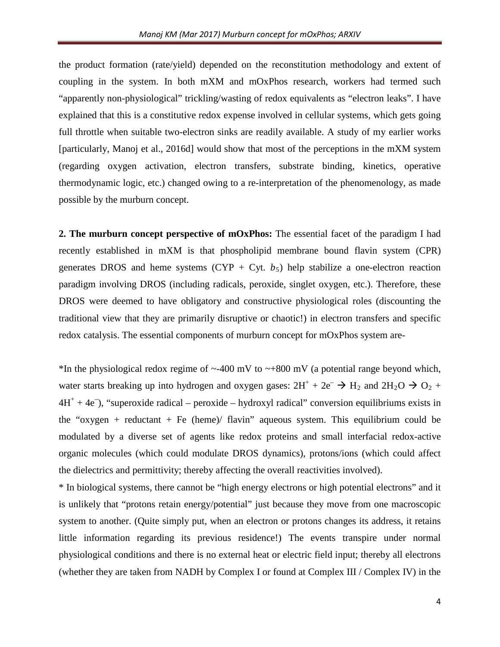the product formation (rate/yield) depended on the reconstitution methodology and extent of coupling in the system. In both mXM and mOxPhos research, workers had termed such "apparently non-physiological" trickling/wasting of redox equivalents as "electron leaks". I have explained that this is a constitutive redox expense involved in cellular systems, which gets going full throttle when suitable two-electron sinks are readily available. A study of my earlier works [particularly, Manoj et al., 2016d] would show that most of the perceptions in the mXM system (regarding oxygen activation, electron transfers, substrate binding, kinetics, operative thermodynamic logic, etc.) changed owing to a re-interpretation of the phenomenology, as made possible by the murburn concept.

**2. The murburn concept perspective of mOxPhos:** The essential facet of the paradigm I had recently established in mXM is that phospholipid membrane bound flavin system (CPR) generates DROS and heme systems (CYP + Cyt.  $b_5$ ) help stabilize a one-electron reaction paradigm involving DROS (including radicals, peroxide, singlet oxygen, etc.). Therefore, these DROS were deemed to have obligatory and constructive physiological roles (discounting the traditional view that they are primarily disruptive or chaotic!) in electron transfers and specific redox catalysis. The essential components of murburn concept for mOxPhos system are-

\*In the physiological redox regime of  $\sim$ -400 mV to  $\sim$ +800 mV (a potential range beyond which, water starts breaking up into hydrogen and oxygen gases:  $2H^+ + 2e^- \rightarrow H_2$  and  $2H_2O \rightarrow O_2 +$  $4H<sup>+</sup> + 4e<sup>-</sup>$ , "superoxide radical – peroxide – hydroxyl radical" conversion equilibriums exists in the "oxygen + reductant + Fe (heme)/ flavin" aqueous system. This equilibrium could be modulated by a diverse set of agents like redox proteins and small interfacial redox-active organic molecules (which could modulate DROS dynamics), protons/ions (which could affect the dielectrics and permittivity; thereby affecting the overall reactivities involved).

\* In biological systems, there cannot be "high energy electrons or high potential electrons" and it is unlikely that "protons retain energy/potential" just because they move from one macroscopic system to another. (Quite simply put, when an electron or protons changes its address, it retains little information regarding its previous residence!) The events transpire under normal physiological conditions and there is no external heat or electric field input; thereby all electrons (whether they are taken from NADH by Complex I or found at Complex III / Complex IV) in the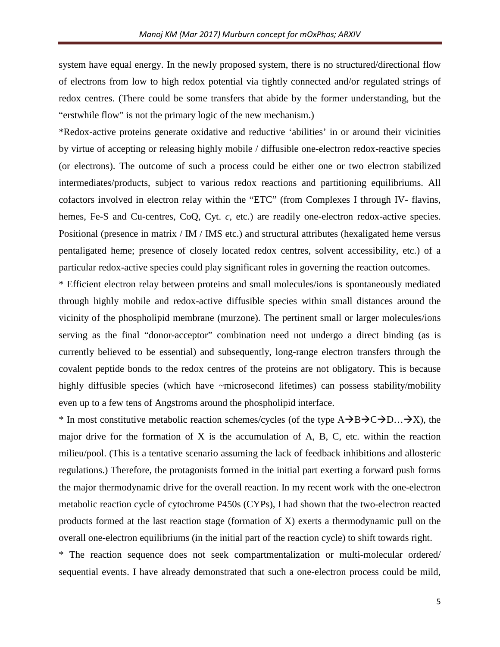system have equal energy. In the newly proposed system, there is no structured/directional flow of electrons from low to high redox potential via tightly connected and/or regulated strings of redox centres. (There could be some transfers that abide by the former understanding, but the "erstwhile flow" is not the primary logic of the new mechanism.)

\*Redox-active proteins generate oxidative and reductive 'abilities' in or around their vicinities by virtue of accepting or releasing highly mobile / diffusible one-electron redox-reactive species (or electrons). The outcome of such a process could be either one or two electron stabilized intermediates/products, subject to various redox reactions and partitioning equilibriums. All cofactors involved in electron relay within the "ETC" (from Complexes I through IV- flavins, hemes, Fe-S and Cu-centres, CoQ, Cyt. *c*, etc.) are readily one-electron redox-active species. Positional (presence in matrix / IM / IMS etc.) and structural attributes (hexaligated heme versus pentaligated heme; presence of closely located redox centres, solvent accessibility, etc.) of a particular redox-active species could play significant roles in governing the reaction outcomes.

\* Efficient electron relay between proteins and small molecules/ions is spontaneously mediated through highly mobile and redox-active diffusible species within small distances around the vicinity of the phospholipid membrane (murzone). The pertinent small or larger molecules/ions serving as the final "donor-acceptor" combination need not undergo a direct binding (as is currently believed to be essential) and subsequently, long-range electron transfers through the covalent peptide bonds to the redox centres of the proteins are not obligatory. This is because highly diffusible species (which have ~microsecond lifetimes) can possess stability/mobility even up to a few tens of Angstroms around the phospholipid interface.

\* In most constitutive metabolic reaction schemes/cycles (of the type  $A\rightarrow B\rightarrow C\rightarrow D... \rightarrow X$ ), the major drive for the formation of X is the accumulation of A, B, C, etc. within the reaction milieu/pool. (This is a tentative scenario assuming the lack of feedback inhibitions and allosteric regulations.) Therefore, the protagonists formed in the initial part exerting a forward push forms the major thermodynamic drive for the overall reaction. In my recent work with the one-electron metabolic reaction cycle of cytochrome P450s (CYPs), I had shown that the two-electron reacted products formed at the last reaction stage (formation of X) exerts a thermodynamic pull on the overall one-electron equilibriums (in the initial part of the reaction cycle) to shift towards right.

\* The reaction sequence does not seek compartmentalization or multi-molecular ordered/ sequential events. I have already demonstrated that such a one-electron process could be mild,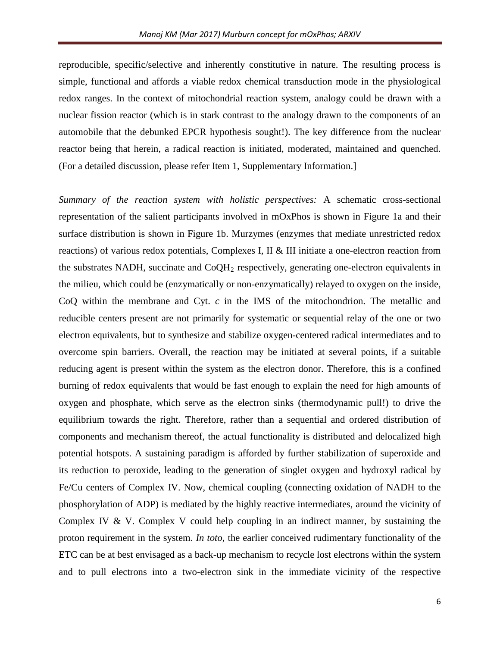reproducible, specific/selective and inherently constitutive in nature. The resulting process is simple, functional and affords a viable redox chemical transduction mode in the physiological redox ranges. In the context of mitochondrial reaction system, analogy could be drawn with a nuclear fission reactor (which is in stark contrast to the analogy drawn to the components of an automobile that the debunked EPCR hypothesis sought!). The key difference from the nuclear reactor being that herein, a radical reaction is initiated, moderated, maintained and quenched. (For a detailed discussion, please refer Item 1, Supplementary Information.]

*Summary of the reaction system with holistic perspectives:* A schematic cross-sectional representation of the salient participants involved in mOxPhos is shown in Figure 1a and their surface distribution is shown in Figure 1b. Murzymes (enzymes that mediate unrestricted redox reactions) of various redox potentials, Complexes I, II  $\&$  III initiate a one-electron reaction from the substrates NADH, succinate and  $CoQH<sub>2</sub>$  respectively, generating one-electron equivalents in the milieu, which could be (enzymatically or non-enzymatically) relayed to oxygen on the inside, CoQ within the membrane and Cyt. *c* in the IMS of the mitochondrion. The metallic and reducible centers present are not primarily for systematic or sequential relay of the one or two electron equivalents, but to synthesize and stabilize oxygen-centered radical intermediates and to overcome spin barriers. Overall, the reaction may be initiated at several points, if a suitable reducing agent is present within the system as the electron donor. Therefore, this is a confined burning of redox equivalents that would be fast enough to explain the need for high amounts of oxygen and phosphate, which serve as the electron sinks (thermodynamic pull!) to drive the equilibrium towards the right. Therefore, rather than a sequential and ordered distribution of components and mechanism thereof, the actual functionality is distributed and delocalized high potential hotspots. A sustaining paradigm is afforded by further stabilization of superoxide and its reduction to peroxide, leading to the generation of singlet oxygen and hydroxyl radical by Fe/Cu centers of Complex IV. Now, chemical coupling (connecting oxidation of NADH to the phosphorylation of ADP) is mediated by the highly reactive intermediates, around the vicinity of Complex IV & V. Complex V could help coupling in an indirect manner, by sustaining the proton requirement in the system. *In toto*, the earlier conceived rudimentary functionality of the ETC can be at best envisaged as a back-up mechanism to recycle lost electrons within the system and to pull electrons into a two-electron sink in the immediate vicinity of the respective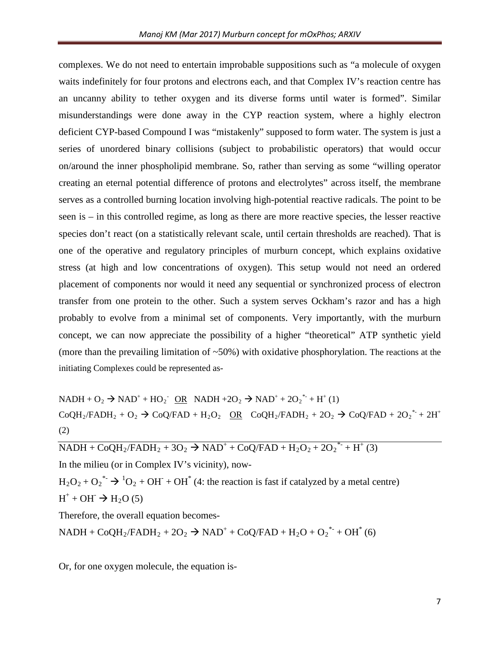complexes. We do not need to entertain improbable suppositions such as "a molecule of oxygen waits indefinitely for four protons and electrons each, and that Complex IV's reaction centre has an uncanny ability to tether oxygen and its diverse forms until water is formed". Similar misunderstandings were done away in the CYP reaction system, where a highly electron deficient CYP-based Compound I was "mistakenly" supposed to form water. The system is just a series of unordered binary collisions (subject to probabilistic operators) that would occur on/around the inner phospholipid membrane. So, rather than serving as some "willing operator creating an eternal potential difference of protons and electrolytes" across itself, the membrane serves as a controlled burning location involving high-potential reactive radicals. The point to be seen is – in this controlled regime, as long as there are more reactive species, the lesser reactive species don't react (on a statistically relevant scale, until certain thresholds are reached). That is one of the operative and regulatory principles of murburn concept, which explains oxidative stress (at high and low concentrations of oxygen). This setup would not need an ordered placement of components nor would it need any sequential or synchronized process of electron transfer from one protein to the other. Such a system serves Ockham's razor and has a high probably to evolve from a minimal set of components. Very importantly, with the murburn concept, we can now appreciate the possibility of a higher "theoretical" ATP synthetic yield (more than the prevailing limitation of  $~50\%$ ) with oxidative phosphorylation. The reactions at the initiating Complexes could be represented as-

 $NADH + O_2 \rightarrow NAD^+ + HO_2^ \overline{OR}$   $NADH + 2O_2 \rightarrow NAD^+ + 2O_2^{*} + H^+(1)$  $CoQH_2/FADH_2 + O_2 \rightarrow CoQ/FAD + H_2O_2 \quad \underline{OR} \quad CoQH_2/FADH_2 + 2O_2 \rightarrow CoQ/FAD + 2O_2^* + 2H^+$ (2)

 $NADH + CoQH<sub>2</sub>/FADH<sub>2</sub> + 3O<sub>2</sub> \rightarrow NAD<sup>+</sup> + CoQ/FAD + H<sub>2</sub>O<sub>2</sub> + 2O<sub>2</sub><sup>*</sup> + H<sup>+</sup> (3)$ 

In the milieu (or in Complex IV's vicinity), now-

 $H_2O_2 + O_2^*$   $\rightarrow$   ${}^1O_2 + OH^* + OH^*$  (4: the reaction is fast if catalyzed by a metal centre)  $H^+$  + OH<sup>-</sup>  $\rightarrow$  H<sub>2</sub>O (5)

Therefore, the overall equation becomes-

 $NADH + CoQH_2/FADH_2 + 2O_2 \rightarrow NAD^+ + CoQ/FAD + H_2O + {O_2}^{*+} + OH^*(6)$ 

Or, for one oxygen molecule, the equation is-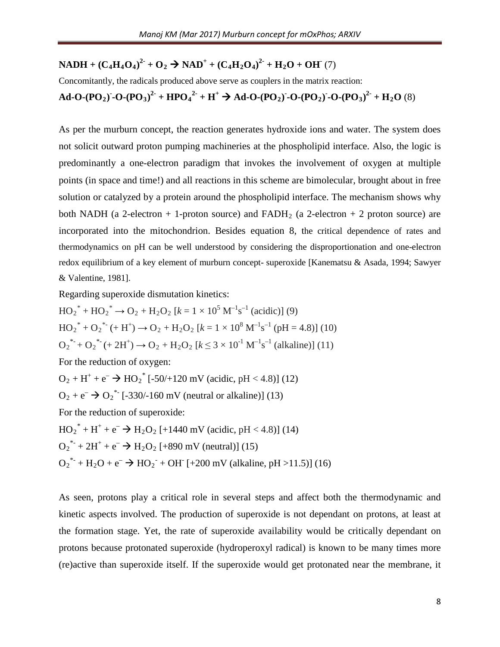# **NADH** +  $(C_4H_4O_4)^2$ <sup>+</sup> +  $O_2$   $\rightarrow$  **NAD**<sup>+</sup> +  $(C_4H_2O_4)^2$ <sup>-</sup> +  $H_2O$  +  $OH^-$  (7)

Concomitantly, the radicals produced above serve as couplers in the matrix reaction: **Ad-O-(PO<sub>2</sub>) -O-(PO<sub>3</sub>)<sup>2</sup> + HPO<sub>4</sub><sup>2</sup> <b>+ H<sup>+</sup>**  $\rightarrow$  **Ad-O-(PO<sub>2</sub>) -O-(PO<sub>2</sub>) -O-(PO<sub>3</sub>)<sup>2</sup>** + **H**<sub>2</sub>**O** (8)

As per the murburn concept, the reaction generates hydroxide ions and water. The system does not solicit outward proton pumping machineries at the phospholipid interface. Also, the logic is predominantly a one-electron paradigm that invokes the involvement of oxygen at multiple points (in space and time!) and all reactions in this scheme are bimolecular, brought about in free solution or catalyzed by a protein around the phospholipid interface. The mechanism shows why both NADH (a 2-electron  $+$  1-proton source) and FADH<sub>2</sub> (a 2-electron  $+$  2 proton source) are incorporated into the mitochondrion. Besides equation 8, the critical dependence of rates and thermodynamics on pH can be well understood by considering the disproportionation and one-electron redox equilibrium of a key element of murburn concept- superoxide [Kanematsu & Asada, 1994; Sawyer & Valentine, 1981].

Regarding superoxide dismutation kinetics:

 $HO_2^* + HO_2^* \rightarrow O_2 + H_2O_2$  [ $k = 1 \times 10^5$  M<sup>-1</sup>s<sup>-1</sup> (acidic)] (9)  $HO_2^* + O_2^* \cdot (+ H^+) \rightarrow O_2 + H_2O_2$  [ $k = 1 \times 10^8$  M<sup>-1</sup>s<sup>-1</sup> (pH = 4.8)] (10)  $O_2^*$  +  $O_2^*$  (+ 2H<sup>+</sup>)  $\rightarrow$   $O_2$  + H<sub>2</sub>O<sub>2</sub> [ $k \le 3 \times 10^{-1}$  M<sup>-1</sup>s<sup>-1</sup> (alkaline)] (11) For the reduction of oxygen:  $O_2 + H^+ + e^- \rightarrow HO_2^*$  [-50/+120 mV (acidic, pH < 4.8)] (12)  $O_2 + e^- \rightarrow O_2^*$  [-330/-160 mV (neutral or alkaline)] (13) For the reduction of superoxide:  $HO_2^* + H^+ + e^- \rightarrow H_2O_2$  [+1440 mV (acidic, pH < 4.8)] (14)  $O_2^*$  + 2H<sup>+</sup> + e<sup>-</sup>  $\rightarrow$  H<sub>2</sub>O<sub>2</sub> [+890 mV (neutral)] (15)  $O_2^*$  + H<sub>2</sub>O + e<sup>-</sup>  $\rightarrow$  HO<sub>2</sub><sup>-</sup> + OH<sup>-</sup> [+200 mV (alkaline, pH >11.5)] (16)

As seen, protons play a critical role in several steps and affect both the thermodynamic and kinetic aspects involved. The production of superoxide is not dependant on protons, at least at the formation stage. Yet, the rate of superoxide availability would be critically dependant on protons because protonated superoxide (hydroperoxyl radical) is known to be many times more (re)active than superoxide itself. If the superoxide would get protonated near the membrane, it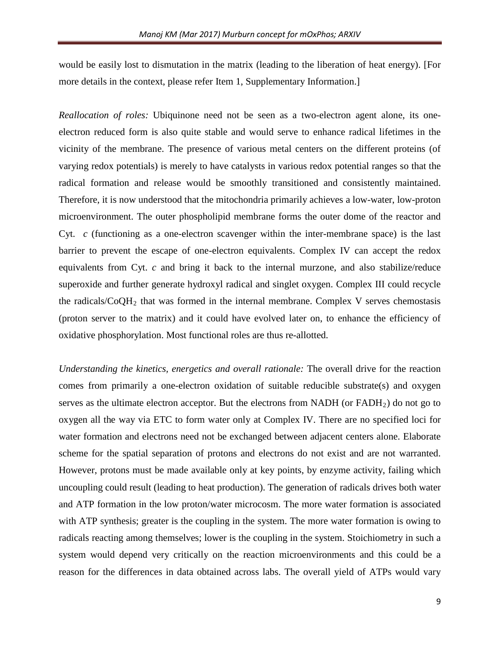would be easily lost to dismutation in the matrix (leading to the liberation of heat energy). [For more details in the context, please refer Item 1, Supplementary Information.]

*Reallocation of roles:* Ubiquinone need not be seen as a two-electron agent alone, its oneelectron reduced form is also quite stable and would serve to enhance radical lifetimes in the vicinity of the membrane. The presence of various metal centers on the different proteins (of varying redox potentials) is merely to have catalysts in various redox potential ranges so that the radical formation and release would be smoothly transitioned and consistently maintained. Therefore, it is now understood that the mitochondria primarily achieves a low-water, low-proton microenvironment. The outer phospholipid membrane forms the outer dome of the reactor and Cyt. *c* (functioning as a one-electron scavenger within the inter-membrane space) is the last barrier to prevent the escape of one-electron equivalents. Complex IV can accept the redox equivalents from Cyt. *c* and bring it back to the internal murzone, and also stabilize/reduce superoxide and further generate hydroxyl radical and singlet oxygen. Complex III could recycle the radicals/ $\text{CoOH}_2$  that was formed in the internal membrane. Complex V serves chemostasis (proton server to the matrix) and it could have evolved later on, to enhance the efficiency of oxidative phosphorylation. Most functional roles are thus re-allotted.

*Understanding the kinetics, energetics and overall rationale:* The overall drive for the reaction comes from primarily a one-electron oxidation of suitable reducible substrate(s) and oxygen serves as the ultimate electron acceptor. But the electrons from NADH (or  $FADH<sub>2</sub>$ ) do not go to oxygen all the way via ETC to form water only at Complex IV. There are no specified loci for water formation and electrons need not be exchanged between adjacent centers alone. Elaborate scheme for the spatial separation of protons and electrons do not exist and are not warranted. However, protons must be made available only at key points, by enzyme activity, failing which uncoupling could result (leading to heat production). The generation of radicals drives both water and ATP formation in the low proton/water microcosm. The more water formation is associated with ATP synthesis; greater is the coupling in the system. The more water formation is owing to radicals reacting among themselves; lower is the coupling in the system. Stoichiometry in such a system would depend very critically on the reaction microenvironments and this could be a reason for the differences in data obtained across labs. The overall yield of ATPs would vary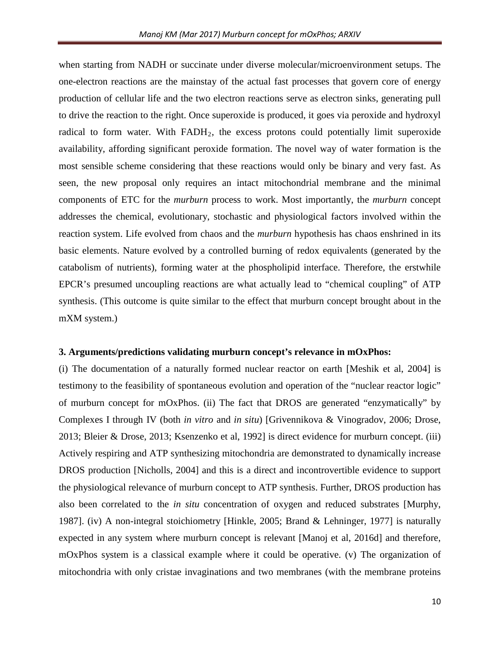when starting from NADH or succinate under diverse molecular/microenvironment setups. The one-electron reactions are the mainstay of the actual fast processes that govern core of energy production of cellular life and the two electron reactions serve as electron sinks, generating pull to drive the reaction to the right. Once superoxide is produced, it goes via peroxide and hydroxyl radical to form water. With  $FADH<sub>2</sub>$ , the excess protons could potentially limit superoxide availability, affording significant peroxide formation. The novel way of water formation is the most sensible scheme considering that these reactions would only be binary and very fast. As seen, the new proposal only requires an intact mitochondrial membrane and the minimal components of ETC for the *murburn* process to work. Most importantly, the *murburn* concept addresses the chemical, evolutionary, stochastic and physiological factors involved within the reaction system. Life evolved from chaos and the *murburn* hypothesis has chaos enshrined in its basic elements. Nature evolved by a controlled burning of redox equivalents (generated by the catabolism of nutrients), forming water at the phospholipid interface. Therefore, the erstwhile EPCR's presumed uncoupling reactions are what actually lead to "chemical coupling" of ATP synthesis. (This outcome is quite similar to the effect that murburn concept brought about in the mXM system.)

#### **3. Arguments/predictions validating murburn concept's relevance in mOxPhos:**

(i) The documentation of a naturally formed nuclear reactor on earth [Meshik et al, 2004] is testimony to the feasibility of spontaneous evolution and operation of the "nuclear reactor logic" of murburn concept for mOxPhos. (ii) The fact that DROS are generated "enzymatically" by Complexes I through IV (both *in vitro* and *in situ*) [Grivennikova & Vinogradov, 2006; Drose, 2013; Bleier & Drose, 2013; Ksenzenko et al, 1992] is direct evidence for murburn concept. (iii) Actively respiring and ATP synthesizing mitochondria are demonstrated to dynamically increase DROS production [Nicholls, 2004] and this is a direct and incontrovertible evidence to support the physiological relevance of murburn concept to ATP synthesis. Further, DROS production has also been correlated to the *in situ* concentration of oxygen and reduced substrates [Murphy, 1987]. (iv) A non-integral stoichiometry [Hinkle, 2005; Brand & Lehninger, 1977] is naturally expected in any system where murburn concept is relevant [Manoj et al, 2016d] and therefore, mOxPhos system is a classical example where it could be operative. (v) The organization of mitochondria with only cristae invaginations and two membranes (with the membrane proteins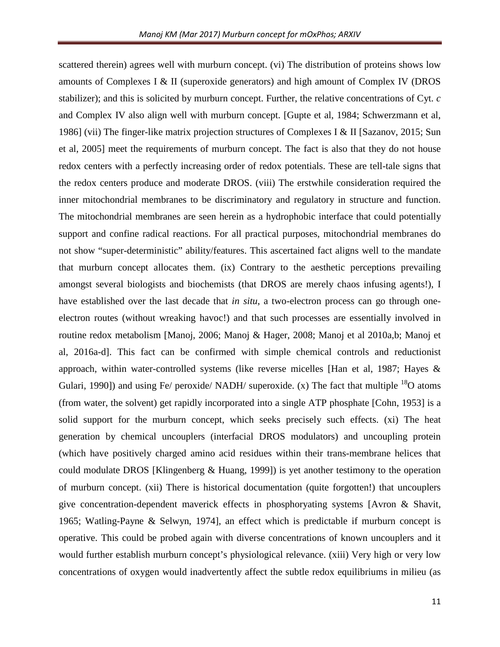scattered therein) agrees well with murburn concept. (vi) The distribution of proteins shows low amounts of Complexes I & II (superoxide generators) and high amount of Complex IV (DROS stabilizer); and this is solicited by murburn concept. Further, the relative concentrations of Cyt. *c* and Complex IV also align well with murburn concept. [Gupte et al, 1984; Schwerzmann et al, 1986] (vii) The finger-like matrix projection structures of Complexes I & II [Sazanov, 2015; Sun et al, 2005] meet the requirements of murburn concept. The fact is also that they do not house redox centers with a perfectly increasing order of redox potentials. These are tell-tale signs that the redox centers produce and moderate DROS. (viii) The erstwhile consideration required the inner mitochondrial membranes to be discriminatory and regulatory in structure and function. The mitochondrial membranes are seen herein as a hydrophobic interface that could potentially support and confine radical reactions. For all practical purposes, mitochondrial membranes do not show "super-deterministic" ability/features. This ascertained fact aligns well to the mandate that murburn concept allocates them. (ix) Contrary to the aesthetic perceptions prevailing amongst several biologists and biochemists (that DROS are merely chaos infusing agents!), I have established over the last decade that *in situ*, a two-electron process can go through oneelectron routes (without wreaking havoc!) and that such processes are essentially involved in routine redox metabolism [Manoj, 2006; Manoj & Hager, 2008; Manoj et al 2010a,b; Manoj et al, 2016a-d]. This fact can be confirmed with simple chemical controls and reductionist approach, within water-controlled systems (like reverse micelles [Han et al, 1987; Hayes & Gulari, 1990]) and using Fe/ peroxide/ NADH/ superoxide. (x) The fact that multiple  $^{18}O$  atoms (from water, the solvent) get rapidly incorporated into a single ATP phosphate [Cohn, 1953] is a solid support for the murburn concept, which seeks precisely such effects. (xi) The heat generation by chemical uncouplers (interfacial DROS modulators) and uncoupling protein (which have positively charged amino acid residues within their trans-membrane helices that could modulate DROS [Klingenberg & Huang, 1999]) is yet another testimony to the operation of murburn concept. (xii) There is historical documentation (quite forgotten!) that uncouplers give concentration-dependent maverick effects in phosphoryating systems [Avron & Shavit, 1965; Watling-Payne & Selwyn, 1974], an effect which is predictable if murburn concept is operative. This could be probed again with diverse concentrations of known uncouplers and it would further establish murburn concept's physiological relevance. (xiii) Very high or very low concentrations of oxygen would inadvertently affect the subtle redox equilibriums in milieu (as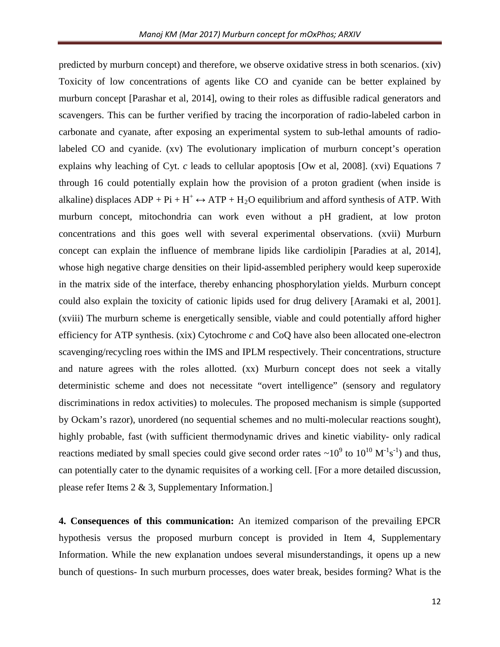predicted by murburn concept) and therefore, we observe oxidative stress in both scenarios. (xiv) Toxicity of low concentrations of agents like CO and cyanide can be better explained by murburn concept [Parashar et al, 2014], owing to their roles as diffusible radical generators and scavengers. This can be further verified by tracing the incorporation of radio-labeled carbon in carbonate and cyanate, after exposing an experimental system to sub-lethal amounts of radiolabeled CO and cyanide. (xv) The evolutionary implication of murburn concept's operation explains why leaching of Cyt. *c* leads to cellular apoptosis [Ow et al, 2008]. (xvi) Equations 7 through 16 could potentially explain how the provision of a proton gradient (when inside is alkaline) displaces  $ADP + Pi + H^+ \leftrightarrow ATP + H_2O$  equilibrium and afford synthesis of ATP. With murburn concept, mitochondria can work even without a pH gradient, at low proton concentrations and this goes well with several experimental observations. (xvii) Murburn concept can explain the influence of membrane lipids like cardiolipin [Paradies at al, 2014], whose high negative charge densities on their lipid-assembled periphery would keep superoxide in the matrix side of the interface, thereby enhancing phosphorylation yields. Murburn concept could also explain the toxicity of cationic lipids used for drug delivery [Aramaki et al, 2001]. (xviii) The murburn scheme is energetically sensible, viable and could potentially afford higher efficiency for ATP synthesis. (xix) Cytochrome *c* and CoQ have also been allocated one-electron scavenging/recycling roes within the IMS and IPLM respectively. Their concentrations, structure and nature agrees with the roles allotted. (xx) Murburn concept does not seek a vitally deterministic scheme and does not necessitate "overt intelligence" (sensory and regulatory discriminations in redox activities) to molecules. The proposed mechanism is simple (supported by Ockam's razor), unordered (no sequential schemes and no multi-molecular reactions sought), highly probable, fast (with sufficient thermodynamic drives and kinetic viability- only radical reactions mediated by small species could give second order rates  $\sim 10^9$  to  $10^{10} \text{ M}^{-1} \text{s}^{-1}$ ) and thus, can potentially cater to the dynamic requisites of a working cell. [For a more detailed discussion, please refer Items 2 & 3, Supplementary Information.]

**4. Consequences of this communication:** An itemized comparison of the prevailing EPCR hypothesis versus the proposed murburn concept is provided in Item 4, Supplementary Information. While the new explanation undoes several misunderstandings, it opens up a new bunch of questions- In such murburn processes, does water break, besides forming? What is the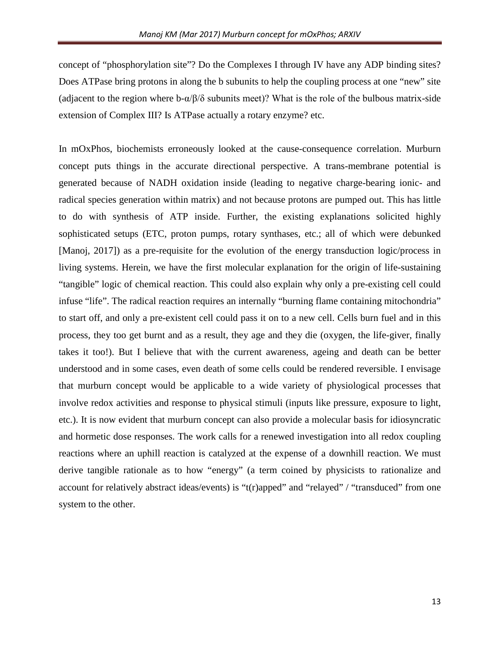concept of "phosphorylation site"? Do the Complexes I through IV have any ADP binding sites? Does ATPase bring protons in along the b subunits to help the coupling process at one "new" site (adjacent to the region where  $b-\alpha/\beta/\delta$  subunits meet)? What is the role of the bulbous matrix-side extension of Complex III? Is ATPase actually a rotary enzyme? etc.

In mOxPhos, biochemists erroneously looked at the cause-consequence correlation. Murburn concept puts things in the accurate directional perspective. A trans-membrane potential is generated because of NADH oxidation inside (leading to negative charge-bearing ionic- and radical species generation within matrix) and not because protons are pumped out. This has little to do with synthesis of ATP inside. Further, the existing explanations solicited highly sophisticated setups (ETC, proton pumps, rotary synthases, etc.; all of which were debunked [Manoj, 2017]) as a pre-requisite for the evolution of the energy transduction logic/process in living systems. Herein, we have the first molecular explanation for the origin of life-sustaining "tangible" logic of chemical reaction. This could also explain why only a pre-existing cell could infuse "life". The radical reaction requires an internally "burning flame containing mitochondria" to start off, and only a pre-existent cell could pass it on to a new cell. Cells burn fuel and in this process, they too get burnt and as a result, they age and they die (oxygen, the life-giver, finally takes it too!). But I believe that with the current awareness, ageing and death can be better understood and in some cases, even death of some cells could be rendered reversible. I envisage that murburn concept would be applicable to a wide variety of physiological processes that involve redox activities and response to physical stimuli (inputs like pressure, exposure to light, etc.). It is now evident that murburn concept can also provide a molecular basis for idiosyncratic and hormetic dose responses. The work calls for a renewed investigation into all redox coupling reactions where an uphill reaction is catalyzed at the expense of a downhill reaction. We must derive tangible rationale as to how "energy" (a term coined by physicists to rationalize and account for relatively abstract ideas/events) is "t(r)apped" and "relayed" / "transduced" from one system to the other.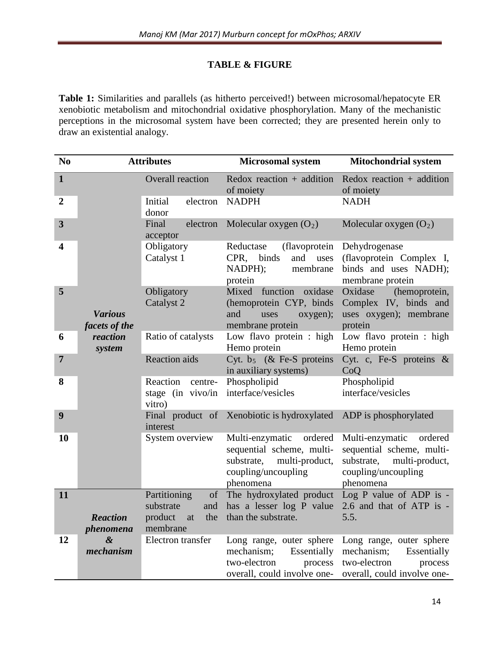# **TABLE & FIGURE**

**Table 1:** Similarities and parallels (as hitherto perceived!) between microsomal/hepatocyte ER xenobiotic metabolism and mitochondrial oxidative phosphorylation. Many of the mechanistic perceptions in the microsomal system have been corrected; they are presented herein only to draw an existential analogy.

| N <sub>0</sub>          | <b>Attributes</b>               |                                                                            | <b>Microsomal system</b>                                                                                                    | <b>Mitochondrial system</b>                                                                                                 |
|-------------------------|---------------------------------|----------------------------------------------------------------------------|-----------------------------------------------------------------------------------------------------------------------------|-----------------------------------------------------------------------------------------------------------------------------|
| $\mathbf{1}$            |                                 | <b>Overall reaction</b>                                                    | Redox reaction $+$ addition<br>of moiety                                                                                    | Redox reaction $+$ addition<br>of moiety                                                                                    |
| $\boldsymbol{2}$        |                                 | Initial<br>electron<br>donor                                               | <b>NADPH</b>                                                                                                                | <b>NADH</b>                                                                                                                 |
| 3                       |                                 | Final<br>electron<br>acceptor                                              | Molecular oxygen $(O_2)$                                                                                                    | Molecular oxygen $(O_2)$                                                                                                    |
| $\overline{\mathbf{4}}$ |                                 | Obligatory<br>Catalyst 1                                                   | Reductase<br>(flavoprotein)<br>CPR,<br>binds<br>and<br>uses<br>NADPH);<br>membrane<br>protein                               | Dehydrogenase<br>(flavoprotein Complex I,<br>binds and uses NADH);<br>membrane protein                                      |
| 5                       | <b>Various</b><br>facets of the | Obligatory<br>Catalyst 2                                                   | Mixed<br>function<br>oxidase<br>(hemoprotein CYP, binds<br>and<br>uses<br>oxygen);<br>membrane protein                      | Oxidase<br>(hemoprotein,<br>Complex IV, binds and<br>uses oxygen); membrane<br>protein                                      |
| 6                       | reaction<br>system              | Ratio of catalysts                                                         | Low flavo protein : high<br>Hemo protein                                                                                    | Low flavo protein : high<br>Hemo protein                                                                                    |
| $\overline{7}$          |                                 | <b>Reaction</b> aids                                                       | Cyt. $b_5$ (& Fe-S proteins<br>in auxiliary systems)                                                                        | Cyt. c, Fe-S proteins $\&$<br>CoQ                                                                                           |
| 8                       |                                 | Reaction<br>centre-<br>stage (in vivo/in<br>vitro)                         | Phospholipid<br>interface/vesicles                                                                                          | Phospholipid<br>interface/vesicles                                                                                          |
| 9                       |                                 | interest                                                                   | Final product of Xenobiotic is hydroxylated                                                                                 | ADP is phosphorylated                                                                                                       |
| 10                      |                                 | System overview                                                            | Multi-enzymatic<br>ordered<br>sequential scheme, multi-<br>substrate,<br>multi-product,<br>coupling/uncoupling<br>phenomena | Multi-enzymatic<br>ordered<br>sequential scheme, multi-<br>substrate,<br>multi-product,<br>coupling/uncoupling<br>phenomena |
| 11                      | <b>Reaction</b><br>phenomena    | Partitioning<br>of<br>substrate<br>and<br>product<br>the<br>at<br>membrane | The hydroxylated product<br>has a lesser log P value<br>than the substrate.                                                 | Log $P$ value of ADP is -<br>2.6 and that of ATP is -<br>5.5.                                                               |
| 12                      | &<br>mechanism                  | Electron transfer                                                          | Long range, outer sphere<br>mechanism;<br>Essentially<br>two-electron<br>process<br>overall, could involve one-             | Long range, outer sphere<br>Essentially<br>mechanism;<br>two-electron<br>process<br>overall, could involve one-             |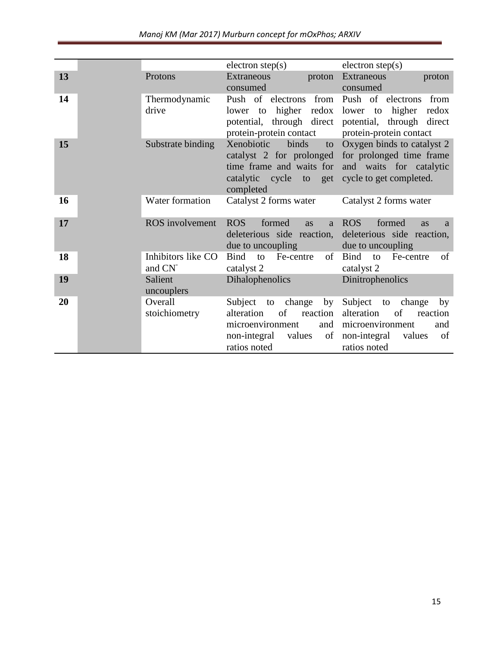|  | Manoj KM (Mar 2017) Murburn concept for mOxPhos; ARXIV |
|--|--------------------------------------------------------|
|--|--------------------------------------------------------|

|    |                              | electron step(s)                                                                                                                | electron step(s)                                                                                                                      |
|----|------------------------------|---------------------------------------------------------------------------------------------------------------------------------|---------------------------------------------------------------------------------------------------------------------------------------|
| 13 | Protons                      | Extraneous<br>proton<br>consumed                                                                                                | Extraneous<br>proton<br>consumed                                                                                                      |
| 14 | Thermodynamic<br>drive       | Push of electrons<br>from<br>lower to higher redox<br>potential, through direct<br>protein-protein contact                      | Push of electrons<br>from<br>lower to higher<br>redox<br>potential, through direct<br>protein-protein contact                         |
| 15 | Substrate binding            | binds<br>Xenobiotic<br>to<br>catalyst 2 for prolonged<br>time frame and waits for<br>catalytic cycle to get<br>completed        | Oxygen binds to catalyst 2<br>for prolonged time frame<br>and waits for catalytic<br>cycle to get completed.                          |
| 16 | Water formation              | Catalyst 2 forms water                                                                                                          | Catalyst 2 forms water                                                                                                                |
| 17 | <b>ROS</b> involvement       | <b>ROS</b><br>formed<br>as<br><sub>a</sub><br>deleterious side reaction,<br>due to uncoupling                                   | <b>ROS</b><br>formed<br>as<br>a<br>deleterious side reaction,<br>due to uncoupling                                                    |
| 18 | Inhibitors like CO<br>and CN | <b>Bind</b><br>of<br>Fe-centre<br>to<br>catalyst 2                                                                              | <b>Bind</b><br>to<br>Fe-centre<br>of<br>catalyst 2                                                                                    |
| 19 | Salient<br>uncouplers        | <b>Dihalophenolics</b>                                                                                                          | Dinitrophenolics                                                                                                                      |
| 20 | Overall<br>stoichiometry     | Subject to change by<br>reaction<br>alteration<br>of<br>microenvironment<br>and<br>values<br>non-integral<br>of<br>ratios noted | Subject to<br>change<br>by<br>alteration<br>of<br>reaction<br>microenvironment<br>and<br>non-integral<br>values<br>of<br>ratios noted |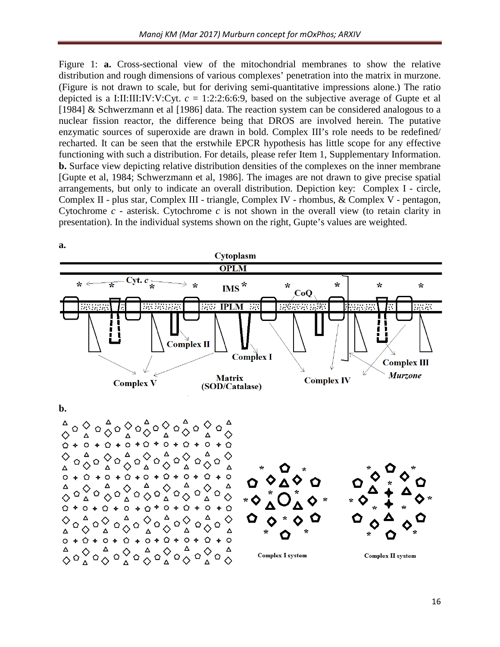Figure 1: **a.** Cross-sectional view of the mitochondrial membranes to show the relative distribution and rough dimensions of various complexes' penetration into the matrix in murzone. (Figure is not drawn to scale, but for deriving semi-quantitative impressions alone.) The ratio depicted is a I:II:III:IV:V:Cyt.  $c = 1:2:2:6:6:9$ , based on the subjective average of Gupte et al [1984] & Schwerzmann et al [1986] data. The reaction system can be considered analogous to a nuclear fission reactor, the difference being that DROS are involved herein. The putative enzymatic sources of superoxide are drawn in bold. Complex III's role needs to be redefined/ recharted. It can be seen that the erstwhile EPCR hypothesis has little scope for any effective functioning with such a distribution. For details, please refer Item 1, Supplementary Information. **b.** Surface view depicting relative distribution densities of the complexes on the inner membrane [Gupte et al, 1984; Schwerzmann et al, 1986]. The images are not drawn to give precise spatial arrangements, but only to indicate an overall distribution. Depiction key: Complex I - circle, Complex II - plus star, Complex III - triangle, Complex IV - rhombus, & Complex V - pentagon, Cytochrome *c* - asterisk. Cytochrome *c* is not shown in the overall view (to retain clarity in presentation). In the individual systems shown on the right, Gupte's values are weighted.

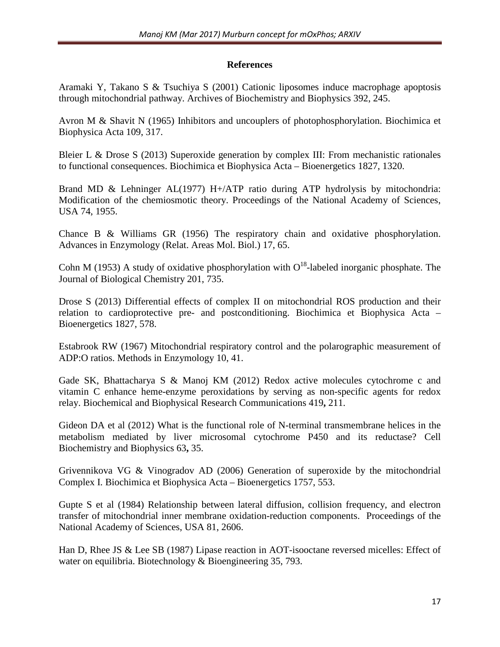## **References**

Aramaki Y, Takano S & Tsuchiya S (2001) Cationic liposomes induce macrophage apoptosis through mitochondrial pathway. Archives of Biochemistry and Biophysics 392, 245.

Avron M & Shavit N (1965) Inhibitors and uncouplers of photophosphorylation. Biochimica et Biophysica Acta 109, 317.

Bleier L & Drose S (2013) Superoxide generation by complex III: From mechanistic rationales to functional consequences. Biochimica et Biophysica Acta – Bioenergetics 1827, 1320.

Brand MD & Lehninger AL(1977) H+/ATP ratio during ATP hydrolysis by mitochondria: Modification of the chemiosmotic theory. Proceedings of the National Academy of Sciences, USA 74, 1955.

Chance B & Williams GR (1956) The respiratory chain and oxidative phosphorylation. Advances in Enzymology (Relat. Areas Mol. Biol.) 17, 65.

Cohn M (1953) A study of oxidative phosphorylation with  $O^{18}$ -labeled inorganic phosphate. The Journal of Biological Chemistry 201, 735.

Drose S (2013) Differential effects of complex II on mitochondrial ROS production and their relation to cardioprotective pre- and postconditioning. Biochimica et Biophysica Acta – Bioenergetics 1827, 578.

Estabrook RW (1967) Mitochondrial respiratory control and the polarographic measurement of ADP:O ratios. Methods in Enzymology 10, 41.

Gade SK, Bhattacharya S & Manoj KM (2012) Redox active molecules cytochrome c and vitamin C enhance heme-enzyme peroxidations by serving as non-specific agents for redox relay. Biochemical and Biophysical Research Communications 419**,** 211.

Gideon DA et al (2012) What is the functional role of N-terminal transmembrane helices in the metabolism mediated by liver microsomal cytochrome P450 and its reductase? Cell Biochemistry and Biophysics 63**,** 35.

Grivennikova VG & Vinogradov AD (2006) Generation of superoxide by the mitochondrial Complex I. Biochimica et Biophysica Acta – Bioenergetics 1757, 553.

Gupte S et al (1984) Relationship between lateral diffusion, collision frequency, and electron transfer of mitochondrial inner membrane oxidation-reduction components. Proceedings of the National Academy of Sciences, USA 81, 2606.

Han D, Rhee JS & Lee SB (1987) Lipase reaction in AOT-isooctane reversed micelles: Effect of water on equilibria. Biotechnology & Bioengineering 35, 793.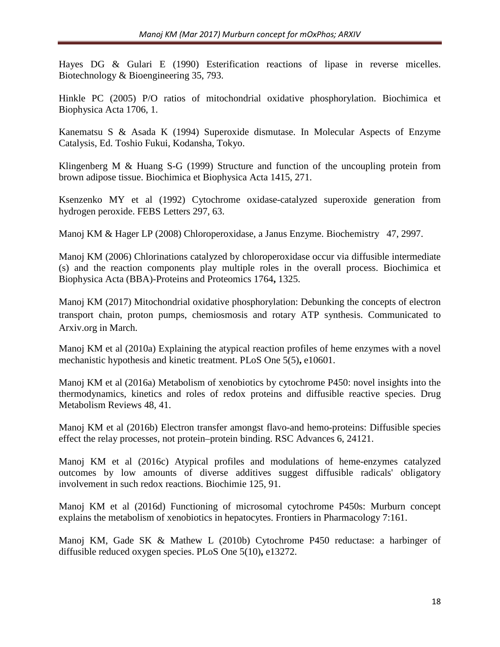Hayes DG & Gulari E (1990) Esterification reactions of lipase in reverse micelles. Biotechnology & Bioengineering 35, 793.

Hinkle PC (2005) P/O ratios of mitochondrial oxidative phosphorylation. Biochimica et Biophysica Acta 1706, 1.

Kanematsu S & Asada K (1994) Superoxide dismutase. In Molecular Aspects of Enzyme Catalysis, Ed. Toshio Fukui, Kodansha, Tokyo.

Klingenberg M & Huang S-G (1999) Structure and function of the uncoupling protein from brown adipose tissue. Biochimica et Biophysica Acta 1415, 271.

Ksenzenko MY et al (1992) Cytochrome oxidase-catalyzed superoxide generation from hydrogen peroxide. FEBS Letters 297, 63.

Manoj KM & Hager LP (2008) Chloroperoxidase, a Janus Enzyme. Biochemistry 47, 2997.

Manoj KM (2006) Chlorinations catalyzed by chloroperoxidase occur via diffusible intermediate (s) and the reaction components play multiple roles in the overall process. Biochimica et Biophysica Acta (BBA)-Proteins and Proteomics 1764**,** 1325.

Manoj KM (2017) Mitochondrial oxidative phosphorylation: Debunking the concepts of electron transport chain, proton pumps, chemiosmosis and rotary ATP synthesis. Communicated to Arxiv.org in March.

Manoj KM et al (2010a) Explaining the atypical reaction profiles of heme enzymes with a novel mechanistic hypothesis and kinetic treatment. PLoS One 5(5)**,** e10601.

Manoj KM et al (2016a) Metabolism of xenobiotics by cytochrome P450: novel insights into the thermodynamics, kinetics and roles of redox proteins and diffusible reactive species. Drug Metabolism Reviews 48, 41.

Manoj KM et al (2016b) Electron transfer amongst flavo-and hemo-proteins: Diffusible species effect the relay processes, not protein–protein binding. RSC Advances 6, 24121.

Manoj KM et al (2016c) Atypical profiles and modulations of heme-enzymes catalyzed outcomes by low amounts of diverse additives suggest diffusible radicals' obligatory involvement in such redox reactions. Biochimie 125, 91.

Manoj KM et al (2016d) Functioning of microsomal cytochrome P450s: Murburn concept explains the metabolism of xenobiotics in hepatocytes. Frontiers in Pharmacology 7:161.

Manoj KM, Gade SK & Mathew L (2010b) Cytochrome P450 reductase: a harbinger of diffusible reduced oxygen species. PLoS One 5(10)**,** e13272.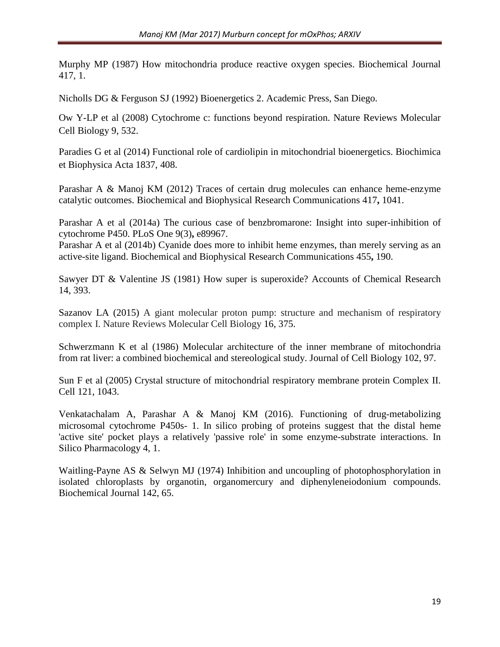Murphy MP (1987) How mitochondria produce reactive oxygen species. Biochemical Journal 417, 1.

Nicholls DG & Ferguson SJ (1992) Bioenergetics 2. Academic Press, San Diego.

Ow Y-LP et al (2008) Cytochrome c : functions beyond respiration. Nature Reviews Molecular Cell Biology 9, 532.

Paradies G et al (2014) Functional role of cardiolipin in mitochondrial bioenergetics. Biochimica et Biophysica Acta 1837, 408.

Parashar A & Manoj KM (2012) Traces of certain drug molecules can enhance heme-enzyme catalytic outcomes. Biochemical and Biophysical Research Communications 417**,** 1041.

Parashar A et al (2014a) The curious case of benzbromarone: Insight into super-inhibition of cytochrome P450. PLoS One 9(3)**,** e89967.

Parashar A et al (2014b) Cyanide does more to inhibit heme enzymes, than merely serving as an active-site ligand. Biochemical and Biophysical Research Communications 455**,** 190.

Sawyer DT & Valentine JS (1981) How super is superoxide? Accounts of Chemical Research 14, 393.

Sazanov LA (2015) A giant molecular proton pump: structure and mechanism of respiratory complex I. Nature Reviews Molecular Cell Biology 16, 375.

Schwerzmann K et al (1986) Molecular architecture of the inner membrane of mitochondria from rat liver: a combined biochemical and stereological study. Journal of Cell Biology 102, 97.

Sun F et al (2005) Crystal structure of mitochondrial respiratory membrane protein Complex II. Cell 121, 1043.

Venkatachalam A, Parashar A & Manoj KM (2016). Functioning of drug-metabolizing microsomal cytochrome P450s- 1. In silico probing of proteins suggest that the distal heme 'active site' pocket plays a relatively 'passive role' in some enzyme-substrate interactions. In Silico Pharmacology 4, 1.

Waitling-Payne AS & Selwyn MJ (1974) Inhibition and uncoupling of photophosphorylation in isolated chloroplasts by organotin, organomercury and diphenyleneiodonium compounds. Biochemical Journal 142, 65.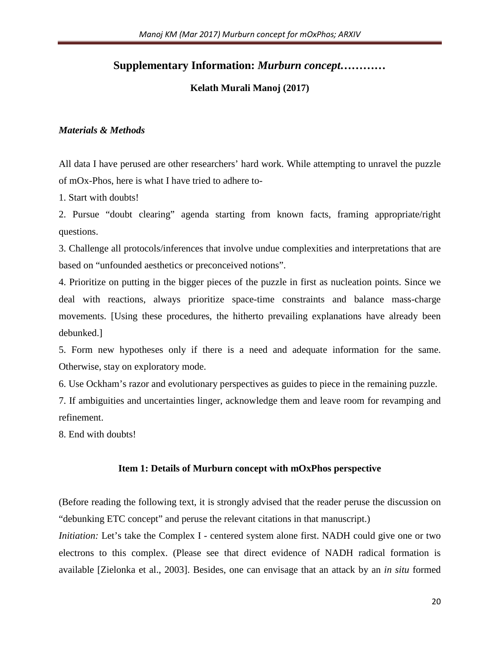# **Supplementary Information:** *Murburn concept…………*

## **Kelath Murali Manoj (2017)**

### *Materials & Methods*

All data I have perused are other researchers' hard work. While attempting to unravel the puzzle of mOx-Phos, here is what I have tried to adhere to-

1. Start with doubts!

2. Pursue "doubt clearing" agenda starting from known facts, framing appropriate/right questions.

3. Challenge all protocols/inferences that involve undue complexities and interpretations that are based on "unfounded aesthetics or preconceived notions".

4. Prioritize on putting in the bigger pieces of the puzzle in first as nucleation points. Since we deal with reactions, always prioritize space-time constraints and balance mass-charge movements. [Using these procedures, the hitherto prevailing explanations have already been debunked.]

5. Form new hypotheses only if there is a need and adequate information for the same. Otherwise, stay on exploratory mode.

6. Use Ockham's razor and evolutionary perspectives as guides to piece in the remaining puzzle.

7. If ambiguities and uncertainties linger, acknowledge them and leave room for revamping and refinement.

8. End with doubts!

### **Item 1: Details of Murburn concept with mOxPhos perspective**

(Before reading the following text, it is strongly advised that the reader peruse the discussion on "debunking ETC concept" and peruse the relevant citations in that manuscript.)

*Initiation:* Let's take the Complex I - centered system alone first. NADH could give one or two electrons to this complex. (Please see that direct evidence of NADH radical formation is available [Zielonka et al., 2003]. Besides, one can envisage that an attack by an *in situ* formed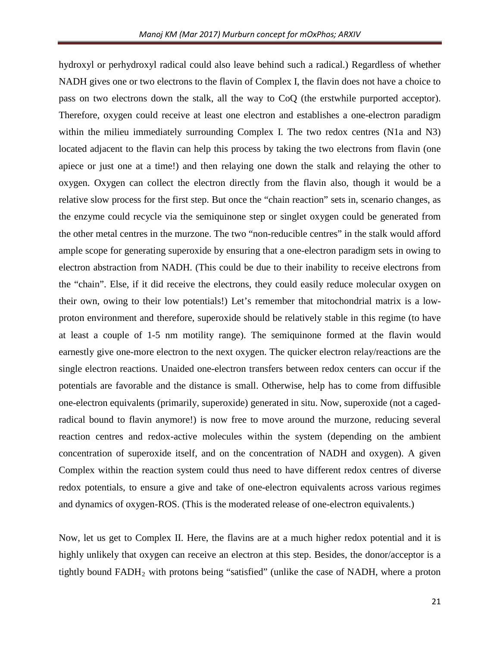hydroxyl or perhydroxyl radical could also leave behind such a radical.) Regardless of whether NADH gives one or two electrons to the flavin of Complex I, the flavin does not have a choice to pass on two electrons down the stalk, all the way to CoQ (the erstwhile purported acceptor). Therefore, oxygen could receive at least one electron and establishes a one-electron paradigm within the milieu immediately surrounding Complex I. The two redox centres (N1a and N3) located adjacent to the flavin can help this process by taking the two electrons from flavin (one apiece or just one at a time!) and then relaying one down the stalk and relaying the other to oxygen. Oxygen can collect the electron directly from the flavin also, though it would be a relative slow process for the first step. But once the "chain reaction" sets in, scenario changes, as the enzyme could recycle via the semiquinone step or singlet oxygen could be generated from the other metal centres in the murzone. The two "non-reducible centres" in the stalk would afford ample scope for generating superoxide by ensuring that a one-electron paradigm sets in owing to electron abstraction from NADH. (This could be due to their inability to receive electrons from the "chain". Else, if it did receive the electrons, they could easily reduce molecular oxygen on their own, owing to their low potentials!) Let's remember that mitochondrial matrix is a lowproton environment and therefore, superoxide should be relatively stable in this regime (to have at least a couple of 1-5 nm motility range). The semiquinone formed at the flavin would earnestly give one-more electron to the next oxygen. The quicker electron relay/reactions are the single electron reactions. Unaided one-electron transfers between redox centers can occur if the potentials are favorable and the distance is small. Otherwise, help has to come from diffusible one-electron equivalents (primarily, superoxide) generated in situ. Now, superoxide (not a cagedradical bound to flavin anymore!) is now free to move around the murzone, reducing several reaction centres and redox-active molecules within the system (depending on the ambient concentration of superoxide itself, and on the concentration of NADH and oxygen). A given Complex within the reaction system could thus need to have different redox centres of diverse redox potentials, to ensure a give and take of one-electron equivalents across various regimes and dynamics of oxygen-ROS. (This is the moderated release of one-electron equivalents.)

Now, let us get to Complex II. Here, the flavins are at a much higher redox potential and it is highly unlikely that oxygen can receive an electron at this step. Besides, the donor/acceptor is a tightly bound FADH2 with protons being "satisfied" (unlike the case of NADH, where a proton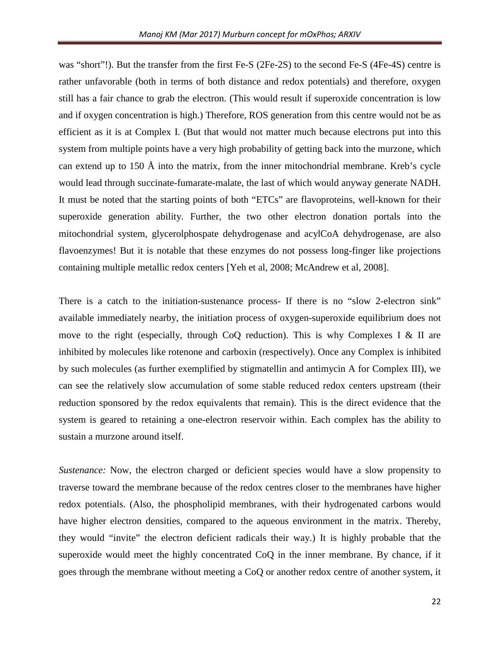was "short"!). But the transfer from the first Fe-S (2Fe-2S) to the second Fe-S (4Fe-4S) centre is rather unfavorable (both in terms of both distance and redox potentials) and therefore, oxygen still has a fair chance to grab the electron. (This would result if superoxide concentration is low and if oxygen concentration is high.) Therefore, ROS generation from this centre would not be as efficient as it is at Complex I. (But that would not matter much because electrons put into this system from multiple points have a very high probability of getting back into the murzone, which can extend up to 150 Å into the matrix, from the inner mitochondrial membrane. Kreb's cycle would lead through succinate-fumarate-malate, the last of which would anyway generate NADH. It must be noted that the starting points of both "ETCs" are flavoproteins, well-known for their superoxide generation ability. Further, the two other electron donation portals into the mitochondrial system, glycerolphospate dehydrogenase and acylCoA dehydrogenase, are also flavoenzymes! But it is notable that these enzymes do not possess long-finger like projections containing multiple metallic redox centers [Yeh et al, 2008; McAndrew et al, 2008].

There is a catch to the initiation-sustenance process- If there is no "slow 2-electron sink" available immediately nearby, the initiation process of oxygen-superoxide equilibrium does not move to the right (especially, through CoQ reduction). This is why Complexes I & II are inhibited by molecules like rotenone and carboxin (respectively). Once any Complex is inhibited by such molecules (as further exemplified by stigmatellin and antimycin A for Complex III), we can see the relatively slow accumulation of some stable reduced redox centers upstream (their reduction sponsored by the redox equivalents that remain). This is the direct evidence that the system is geared to retaining a one-electron reservoir within. Each complex has the ability to sustain a murzone around itself.

*Sustenance:* Now, the electron charged or deficient species would have a slow propensity to traverse toward the membrane because of the redox centres closer to the membranes have higher redox potentials. (Also, the phospholipid membranes, with their hydrogenated carbons would have higher electron densities, compared to the aqueous environment in the matrix. Thereby, they would "invite" the electron deficient radicals their way.) It is highly probable that the superoxide would meet the highly concentrated CoQ in the inner membrane. By chance, if it goes through the membrane without meeting a CoQ or another redox centre of another system, it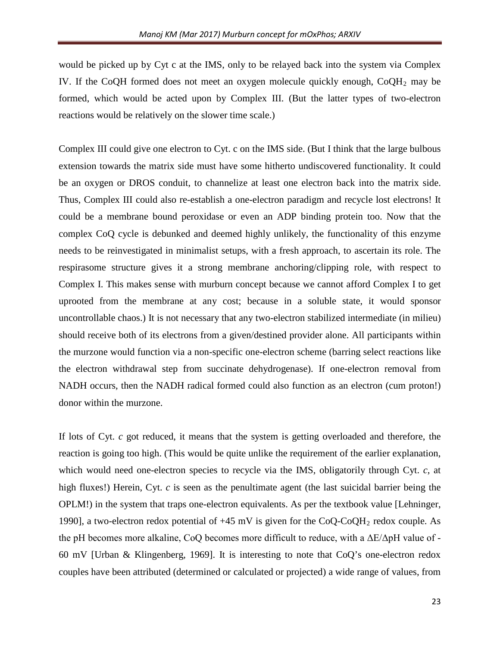would be picked up by Cyt c at the IMS, only to be relayed back into the system via Complex IV. If the CoQH formed does not meet an oxygen molecule quickly enough,  $CoOH<sub>2</sub>$  may be formed, which would be acted upon by Complex III. (But the latter types of two-electron reactions would be relatively on the slower time scale.)

Complex III could give one electron to Cyt. c on the IMS side. (But I think that the large bulbous extension towards the matrix side must have some hitherto undiscovered functionality. It could be an oxygen or DROS conduit, to channelize at least one electron back into the matrix side. Thus, Complex III could also re-establish a one-electron paradigm and recycle lost electrons! It could be a membrane bound peroxidase or even an ADP binding protein too. Now that the complex CoQ cycle is debunked and deemed highly unlikely, the functionality of this enzyme needs to be reinvestigated in minimalist setups, with a fresh approach, to ascertain its role. The respirasome structure gives it a strong membrane anchoring/clipping role, with respect to Complex I. This makes sense with murburn concept because we cannot afford Complex I to get uprooted from the membrane at any cost; because in a soluble state, it would sponsor uncontrollable chaos.) It is not necessary that any two-electron stabilized intermediate (in milieu) should receive both of its electrons from a given/destined provider alone. All participants within the murzone would function via a non-specific one-electron scheme (barring select reactions like the electron withdrawal step from succinate dehydrogenase). If one-electron removal from NADH occurs, then the NADH radical formed could also function as an electron (cum proton!) donor within the murzone.

If lots of Cyt. *c* got reduced, it means that the system is getting overloaded and therefore, the reaction is going too high. (This would be quite unlike the requirement of the earlier explanation, which would need one-electron species to recycle via the IMS, obligatorily through Cyt. *c*, at high fluxes!) Herein, Cyt. *c* is seen as the penultimate agent (the last suicidal barrier being the OPLM!) in the system that traps one-electron equivalents. As per the textbook value [Lehninger, 1990], a two-electron redox potential of  $+45$  mV is given for the CoQ-CoQH<sub>2</sub> redox couple. As the pH becomes more alkaline, CoQ becomes more difficult to reduce, with a ΔE/ΔpH value of - 60 mV [Urban & Klingenberg, 1969]. It is interesting to note that CoQ's one-electron redox couples have been attributed (determined or calculated or projected) a wide range of values, from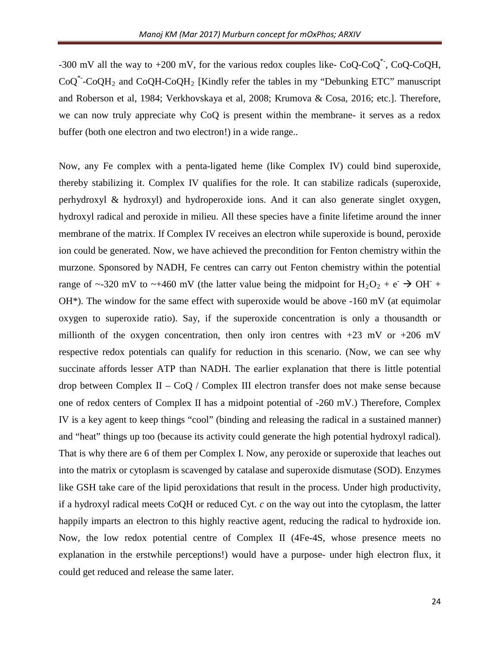-300 mV all the way to  $+200$  mV, for the various redox couples like- CoQ-CoQ<sup>\*</sup>, CoQ-CoQH,  $CoQ^*$ -CoQH<sub>2</sub> and CoQH-CoQH<sub>2</sub> [Kindly refer the tables in my "Debunking ETC" manuscript and Roberson et al, 1984; Verkhovskaya et al, 2008; Krumova & Cosa, 2016; etc.]. Therefore, we can now truly appreciate why CoQ is present within the membrane- it serves as a redox buffer (both one electron and two electron!) in a wide range..

Now, any Fe complex with a penta-ligated heme (like Complex IV) could bind superoxide, thereby stabilizing it. Complex IV qualifies for the role. It can stabilize radicals (superoxide, perhydroxyl & hydroxyl) and hydroperoxide ions. And it can also generate singlet oxygen, hydroxyl radical and peroxide in milieu. All these species have a finite lifetime around the inner membrane of the matrix. If Complex IV receives an electron while superoxide is bound, peroxide ion could be generated. Now, we have achieved the precondition for Fenton chemistry within the murzone. Sponsored by NADH, Fe centres can carry out Fenton chemistry within the potential range of ~-320 mV to ~+460 mV (the latter value being the midpoint for H<sub>2</sub>O<sub>2</sub> + e<sup>-</sup>  $\rightarrow$  OH<sup>-</sup> +  $OH^*$ ). The window for the same effect with superoxide would be above  $-160$  mV (at equimolar oxygen to superoxide ratio). Say, if the superoxide concentration is only a thousandth or millionth of the oxygen concentration, then only iron centres with  $+23$  mV or  $+206$  mV respective redox potentials can qualify for reduction in this scenario. (Now, we can see why succinate affords lesser ATP than NADH. The earlier explanation that there is little potential drop between Complex II – CoQ / Complex III electron transfer does not make sense because one of redox centers of Complex II has a midpoint potential of -260 mV.) Therefore, Complex IV is a key agent to keep things "cool" (binding and releasing the radical in a sustained manner) and "heat" things up too (because its activity could generate the high potential hydroxyl radical). That is why there are 6 of them per Complex I. Now, any peroxide or superoxide that leaches out into the matrix or cytoplasm is scavenged by catalase and superoxide dismutase (SOD). Enzymes like GSH take care of the lipid peroxidations that result in the process. Under high productivity, if a hydroxyl radical meets CoQH or reduced Cyt. *c* on the way out into the cytoplasm, the latter happily imparts an electron to this highly reactive agent, reducing the radical to hydroxide ion. Now, the low redox potential centre of Complex II (4Fe-4S, whose presence meets no explanation in the erstwhile perceptions!) would have a purpose- under high electron flux, it could get reduced and release the same later.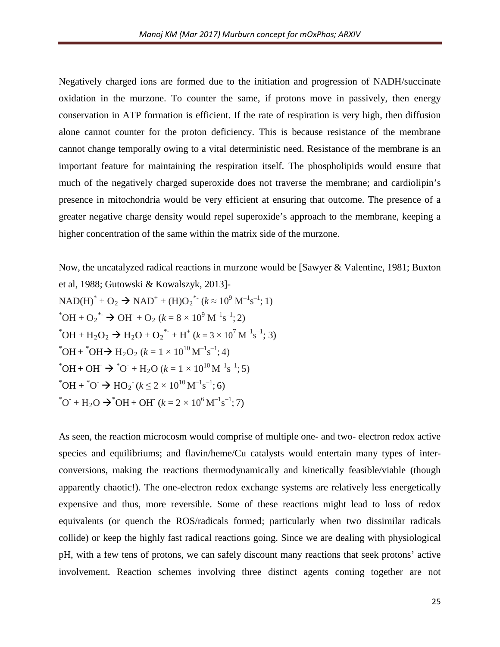Negatively charged ions are formed due to the initiation and progression of NADH/succinate oxidation in the murzone. To counter the same, if protons move in passively, then energy conservation in ATP formation is efficient. If the rate of respiration is very high, then diffusion alone cannot counter for the proton deficiency. This is because resistance of the membrane cannot change temporally owing to a vital deterministic need. Resistance of the membrane is an important feature for maintaining the respiration itself. The phospholipids would ensure that much of the negatively charged superoxide does not traverse the membrane; and cardiolipin's presence in mitochondria would be very efficient at ensuring that outcome. The presence of a greater negative charge density would repel superoxide's approach to the membrane, keeping a higher concentration of the same within the matrix side of the murzone.

Now, the uncatalyzed radical reactions in murzone would be [Sawyer & Valentine, 1981; Buxton et al, 1988; Gutowski & Kowalszyk, 2013]-  $NAD(H)^* + O_2 \rightarrow NAD^+ + (H)O_2^*$ <sup>\*</sup>  $(k \approx 10^9 \text{ M}^{-1}\text{s}^{-1}; 1)$  $^*$ OH + O<sub>2</sub><sup>\*</sup> → OH + O<sub>2</sub> ( $k = 8 \times 10^9$  M<sup>-1</sup>s<sup>-1</sup>; 2)  $^*$ OH + H<sub>2</sub>O<sub>2</sub>  $\rightarrow$  H<sub>2</sub>O + O<sub>2</sub><sup>\*</sup>-+H<sup>+</sup> ( $k = 3 \times 10^7$  M<sup>-1</sup>s<sup>-1</sup>; 3) \* $OH + {}^{*}OH \rightarrow H_2O_2$  ( $k = 1 \times 10^{10} M^{-1} s^{-1}$ ; 4)  $^*$ OH + OH  $\rightarrow$   $^*$ O + H<sub>2</sub>O (k = 1 × 10<sup>10</sup> M<sup>-1</sup>s<sup>-1</sup>; 5) \*OH + \*O<sup>-</sup>  $\rightarrow$  HO<sub>2</sub><sup>-</sup> ( $k \le 2 \times 10^{10}$  M<sup>-1</sup>s<sup>-1</sup>; 6)  $^{\ast}$ O<sup>-</sup> + H<sub>2</sub>O  $\rightarrow$   $^{\ast}$ OH + OH<sup>-</sup> (k = 2 × 10<sup>6</sup> M<sup>-1</sup>s<sup>-1</sup>; 7)

As seen, the reaction microcosm would comprise of multiple one- and two- electron redox active species and equilibriums; and flavin/heme/Cu catalysts would entertain many types of interconversions, making the reactions thermodynamically and kinetically feasible/viable (though apparently chaotic!). The one-electron redox exchange systems are relatively less energetically expensive and thus, more reversible. Some of these reactions might lead to loss of redox equivalents (or quench the ROS/radicals formed; particularly when two dissimilar radicals collide) or keep the highly fast radical reactions going. Since we are dealing with physiological pH, with a few tens of protons, we can safely discount many reactions that seek protons' active involvement. Reaction schemes involving three distinct agents coming together are not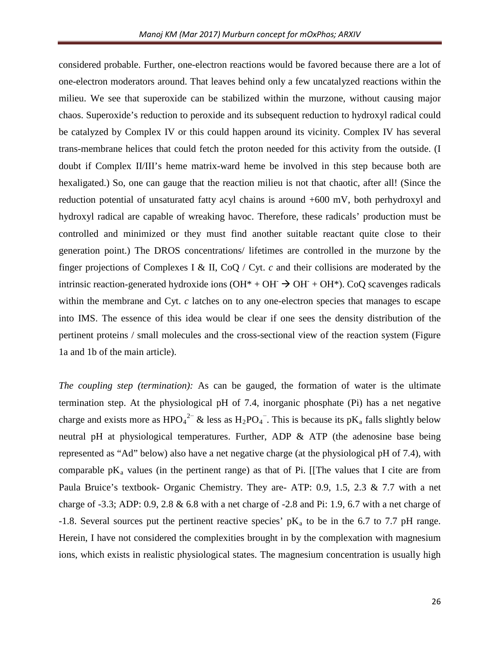considered probable. Further, one-electron reactions would be favored because there are a lot of one-electron moderators around. That leaves behind only a few uncatalyzed reactions within the milieu. We see that superoxide can be stabilized within the murzone, without causing major chaos. Superoxide's reduction to peroxide and its subsequent reduction to hydroxyl radical could be catalyzed by Complex IV or this could happen around its vicinity. Complex IV has several trans-membrane helices that could fetch the proton needed for this activity from the outside. (I doubt if Complex II/III's heme matrix-ward heme be involved in this step because both are hexaligated.) So, one can gauge that the reaction milieu is not that chaotic, after all! (Since the reduction potential of unsaturated fatty acyl chains is around +600 mV, both perhydroxyl and hydroxyl radical are capable of wreaking havoc. Therefore, these radicals' production must be controlled and minimized or they must find another suitable reactant quite close to their generation point.) The DROS concentrations/ lifetimes are controlled in the murzone by the finger projections of Complexes I & II, CoQ / Cyt. *c* and their collisions are moderated by the intrinsic reaction-generated hydroxide ions  $(OH^* + OH^- \rightarrow OH^+ + OH^*$ ). CoO scavenges radicals within the membrane and Cyt. *c* latches on to any one-electron species that manages to escape into IMS. The essence of this idea would be clear if one sees the density distribution of the pertinent proteins / small molecules and the cross-sectional view of the reaction system (Figure 1a and 1b of the main article).

*The coupling step (termination):* As can be gauged, the formation of water is the ultimate termination step. At the physiological pH of 7.4, inorganic phosphate (Pi) has a net negative charge and exists more as HPO<sub>4</sub><sup>2-</sup> & less as H<sub>2</sub>PO<sub>4</sub><sup>-</sup>. This is because its pK<sub>a</sub> falls slightly below neutral pH at physiological temperatures. Further, ADP & ATP (the adenosine base being represented as "Ad" below) also have a net negative charge (at the physiological pH of 7.4), with comparable  $pK_a$  values (in the pertinent range) as that of Pi. [[The values that I cite are from Paula Bruice's textbook- Organic Chemistry. They are- ATP: 0.9, 1.5, 2.3 & 7.7 with a net charge of  $-3.3$ ; ADP: 0.9, 2.8 & 6.8 with a net charge of  $-2.8$  and Pi: 1.9, 6.7 with a net charge of -1.8. Several sources put the pertinent reactive species'  $pK_a$  to be in the 6.7 to 7.7 pH range. Herein, I have not considered the complexities brought in by the complexation with magnesium ions, which exists in realistic physiological states. The magnesium concentration is usually high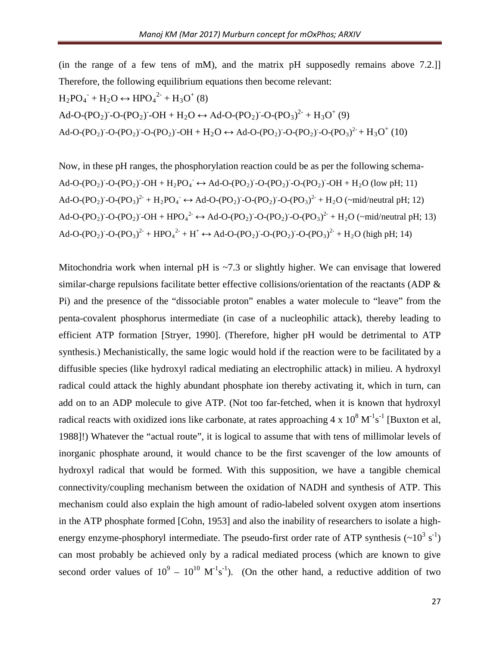(in the range of a few tens of mM), and the matrix pH supposedly remains above 7.2.]] Therefore, the following equilibrium equations then become relevant:

$$
H_2PO_4^+ + H_2O \leftrightarrow \text{HPO}_4^{2+} + H_3O^+(8)
$$
  
Ad-O-(PO<sub>2</sub>)<sup>-</sup>-O-(PO<sub>2</sub>)<sup>-</sup>OH + H<sub>2</sub>O \leftrightarrow Ad-O-(PO<sub>2</sub>)<sup>-</sup>O-(PO<sub>3</sub>)<sup>2+</sup> + H<sub>3</sub>O<sup>+</sup> (9)  
Ad-O-(PO<sub>2</sub>)<sup>-</sup>-O-(PO<sub>2</sub>)<sup>-</sup>-O-(PO<sub>2</sub>)<sup>-</sup>OH + H<sub>2</sub>O \leftrightarrow Ad-O-(PO<sub>2</sub>)<sup>-</sup>O-(PO<sub>2</sub>)<sup>-</sup>-O-(PO<sub>3</sub>)<sup>2+</sup> + H<sub>3</sub>O<sup>+</sup> (10)

Now, in these pH ranges, the phosphorylation reaction could be as per the following schema-Ad-O-(PO<sub>2</sub>) -O-(PO<sub>2</sub>) -OH + H<sub>2</sub>PO<sub>4</sub>  $\leftrightarrow$  Ad-O-(PO<sub>2</sub>) -O-(PO<sub>2</sub>) -O-(PO<sub>2</sub>) -OH + H<sub>2</sub>O (low pH; 11) Ad-O-(PO<sub>2</sub>) -O-(PO<sub>3</sub>)<sup>2-</sup> + H<sub>2</sub>PO<sub>4</sub><sup>-</sup>  $\leftrightarrow$  Ad-O-(PO<sub>2</sub>) -O-(PO<sub>2</sub>) -O-(PO<sub>3</sub>)<sup>2-</sup> + H<sub>2</sub>O (~mid/neutral pH; 12) Ad-O-(PO<sub>2</sub>) -O-(PO<sub>2</sub>) -OH + HPO<sub>4</sub><sup>2-</sup>  $\leftrightarrow$  Ad-O-(PO<sub>2</sub>) -O-(PO<sub>2</sub>) -O-(PO<sub>3</sub>)<sup>2-</sup> + H<sub>2</sub>O (~mid/neutral pH; 13) Ad-O-(PO<sub>2</sub>)<sup>-</sup>O-(PO<sub>3</sub>)<sup>2-</sup> + HPO<sub>4</sub><sup>2-</sup> + H<sup>+</sup>  $\leftrightarrow$  Ad-O-(PO<sub>2</sub>)<sup>-</sup>O-(PO<sub>2</sub>)<sup>-</sup>O-(PO<sub>3</sub>)<sup>2-</sup> + H<sub>2</sub>O (high pH; 14)

Mitochondria work when internal pH is  $\sim$ 7.3 or slightly higher. We can envisage that lowered similar-charge repulsions facilitate better effective collisions/orientation of the reactants (ADP & Pi) and the presence of the "dissociable proton" enables a water molecule to "leave" from the penta-covalent phosphorus intermediate (in case of a nucleophilic attack), thereby leading to efficient ATP formation [Stryer, 1990]. (Therefore, higher pH would be detrimental to ATP synthesis.) Mechanistically, the same logic would hold if the reaction were to be facilitated by a diffusible species (like hydroxyl radical mediating an electrophilic attack) in milieu. A hydroxyl radical could attack the highly abundant phosphate ion thereby activating it, which in turn, can add on to an ADP molecule to give ATP. (Not too far-fetched, when it is known that hydroxyl radical reacts with oxidized ions like carbonate, at rates approaching  $4 \times 10^8 \text{ M}^{-1} \text{s}^{-1}$  [Buxton et al, 1988]!) Whatever the "actual route", it is logical to assume that with tens of millimolar levels of inorganic phosphate around, it would chance to be the first scavenger of the low amounts of hydroxyl radical that would be formed. With this supposition, we have a tangible chemical connectivity/coupling mechanism between the oxidation of NADH and synthesis of ATP. This mechanism could also explain the high amount of radio-labeled solvent oxygen atom insertions in the ATP phosphate formed [Cohn, 1953] and also the inability of researchers to isolate a highenergy enzyme-phosphoryl intermediate. The pseudo-first order rate of ATP synthesis  $(\sim 10^3 \text{ s}^{-1})$ can most probably be achieved only by a radical mediated process (which are known to give second order values of  $10^9 - 10^{10} \text{ M}^{-1} \text{s}^{-1}$ ). (On the other hand, a reductive addition of two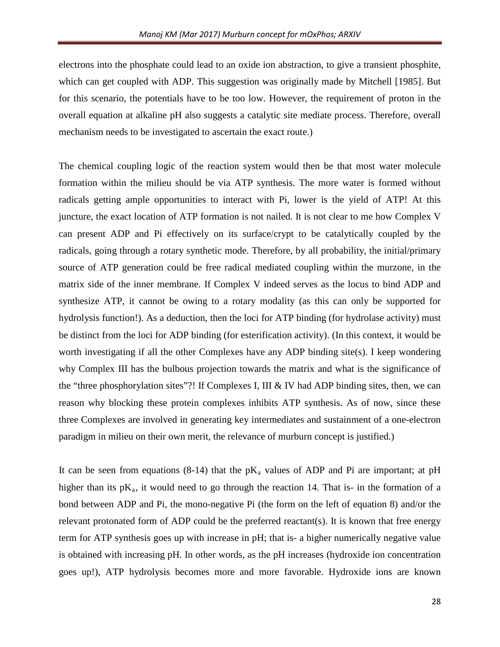electrons into the phosphate could lead to an oxide ion abstraction, to give a transient phosphite, which can get coupled with ADP. This suggestion was originally made by Mitchell [1985]. But for this scenario, the potentials have to be too low. However, the requirement of proton in the overall equation at alkaline pH also suggests a catalytic site mediate process. Therefore, overall mechanism needs to be investigated to ascertain the exact route.)

The chemical coupling logic of the reaction system would then be that most water molecule formation within the milieu should be via ATP synthesis. The more water is formed without radicals getting ample opportunities to interact with Pi, lower is the yield of ATP! At this juncture, the exact location of ATP formation is not nailed. It is not clear to me how Complex V can present ADP and Pi effectively on its surface/crypt to be catalytically coupled by the radicals, going through a rotary synthetic mode. Therefore, by all probability, the initial/primary source of ATP generation could be free radical mediated coupling within the murzone, in the matrix side of the inner membrane. If Complex V indeed serves as the locus to bind ADP and synthesize ATP, it cannot be owing to a rotary modality (as this can only be supported for hydrolysis function!). As a deduction, then the loci for ATP binding (for hydrolase activity) must be distinct from the loci for ADP binding (for esterification activity). (In this context, it would be worth investigating if all the other Complexes have any ADP binding site(s). I keep wondering why Complex III has the bulbous projection towards the matrix and what is the significance of the "three phosphorylation sites"?! If Complexes I, III & IV had ADP binding sites, then, we can reason why blocking these protein complexes inhibits ATP synthesis. As of now, since these three Complexes are involved in generating key intermediates and sustainment of a one-electron paradigm in milieu on their own merit, the relevance of murburn concept is justified.)

It can be seen from equations  $(8-14)$  that the  $pK_a$  values of ADP and Pi are important; at pH higher than its  $pK_a$ , it would need to go through the reaction 14. That is- in the formation of a bond between ADP and Pi, the mono-negative Pi (the form on the left of equation 8) and/or the relevant protonated form of ADP could be the preferred reactant(s). It is known that free energy term for ATP synthesis goes up with increase in pH; that is- a higher numerically negative value is obtained with increasing pH. In other words, as the pH increases (hydroxide ion concentration goes up!), ATP hydrolysis becomes more and more favorable. Hydroxide ions are known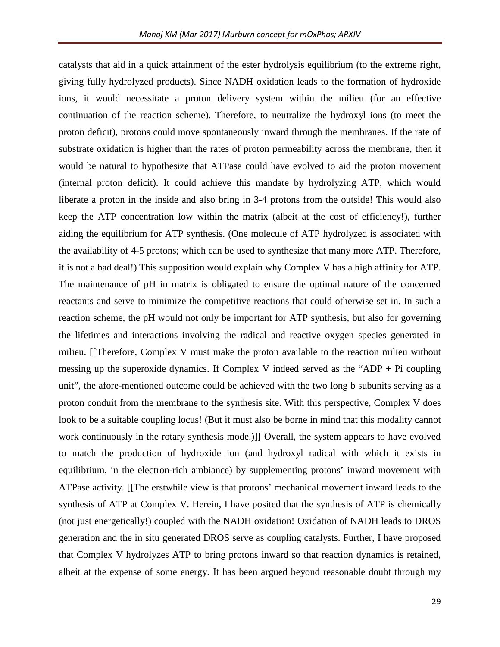catalysts that aid in a quick attainment of the ester hydrolysis equilibrium (to the extreme right, giving fully hydrolyzed products). Since NADH oxidation leads to the formation of hydroxide ions, it would necessitate a proton delivery system within the milieu (for an effective continuation of the reaction scheme). Therefore, to neutralize the hydroxyl ions (to meet the proton deficit), protons could move spontaneously inward through the membranes. If the rate of substrate oxidation is higher than the rates of proton permeability across the membrane, then it would be natural to hypothesize that ATPase could have evolved to aid the proton movement (internal proton deficit). It could achieve this mandate by hydrolyzing ATP, which would liberate a proton in the inside and also bring in 3-4 protons from the outside! This would also keep the ATP concentration low within the matrix (albeit at the cost of efficiency!), further aiding the equilibrium for ATP synthesis. (One molecule of ATP hydrolyzed is associated with the availability of 4-5 protons; which can be used to synthesize that many more ATP. Therefore, it is not a bad deal!) This supposition would explain why Complex V has a high affinity for ATP. The maintenance of pH in matrix is obligated to ensure the optimal nature of the concerned reactants and serve to minimize the competitive reactions that could otherwise set in. In such a reaction scheme, the pH would not only be important for ATP synthesis, but also for governing the lifetimes and interactions involving the radical and reactive oxygen species generated in milieu. [[Therefore, Complex V must make the proton available to the reaction milieu without messing up the superoxide dynamics. If Complex V indeed served as the "ADP + Pi coupling unit", the afore-mentioned outcome could be achieved with the two long b subunits serving as a proton conduit from the membrane to the synthesis site. With this perspective, Complex V does look to be a suitable coupling locus! (But it must also be borne in mind that this modality cannot work continuously in the rotary synthesis mode.)]] Overall, the system appears to have evolved to match the production of hydroxide ion (and hydroxyl radical with which it exists in equilibrium, in the electron-rich ambiance) by supplementing protons' inward movement with ATPase activity. [[The erstwhile view is that protons' mechanical movement inward leads to the synthesis of ATP at Complex V. Herein, I have posited that the synthesis of ATP is chemically (not just energetically!) coupled with the NADH oxidation! Oxidation of NADH leads to DROS generation and the in situ generated DROS serve as coupling catalysts. Further, I have proposed that Complex V hydrolyzes ATP to bring protons inward so that reaction dynamics is retained, albeit at the expense of some energy. It has been argued beyond reasonable doubt through my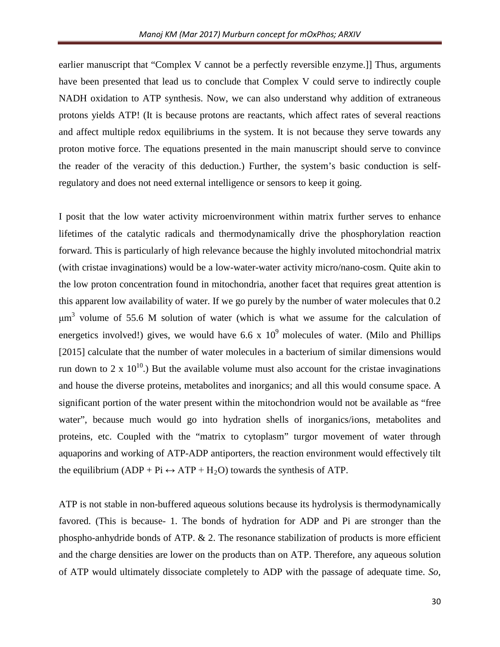earlier manuscript that "Complex V cannot be a perfectly reversible enzyme.]] Thus, arguments have been presented that lead us to conclude that Complex V could serve to indirectly couple NADH oxidation to ATP synthesis. Now, we can also understand why addition of extraneous protons yields ATP! (It is because protons are reactants, which affect rates of several reactions and affect multiple redox equilibriums in the system. It is not because they serve towards any proton motive force. The equations presented in the main manuscript should serve to convince the reader of the veracity of this deduction.) Further, the system's basic conduction is selfregulatory and does not need external intelligence or sensors to keep it going.

I posit that the low water activity microenvironment within matrix further serves to enhance lifetimes of the catalytic radicals and thermodynamically drive the phosphorylation reaction forward. This is particularly of high relevance because the highly involuted mitochondrial matrix (with cristae invaginations) would be a low-water-water activity micro/nano-cosm. Quite akin to the low proton concentration found in mitochondria, another facet that requires great attention is this apparent low availability of water. If we go purely by the number of water molecules that 0.2  $\mu$ m<sup>3</sup> volume of 55.6 M solution of water (which is what we assume for the calculation of energetics involved!) gives, we would have  $6.6 \times 10^9$  molecules of water. (Milo and Phillips [2015] calculate that the number of water molecules in a bacterium of similar dimensions would run down to 2 x  $10^{10}$ .) But the available volume must also account for the cristae invaginations and house the diverse proteins, metabolites and inorganics; and all this would consume space. A significant portion of the water present within the mitochondrion would not be available as "free water", because much would go into hydration shells of inorganics/ions, metabolites and proteins, etc. Coupled with the "matrix to cytoplasm" turgor movement of water through aquaporins and working of ATP-ADP antiporters, the reaction environment would effectively tilt the equilibrium (ADP + Pi  $\leftrightarrow$  ATP + H<sub>2</sub>O) towards the synthesis of ATP.

ATP is not stable in non-buffered aqueous solutions because its hydrolysis is thermodynamically favored. (This is because- 1. The bonds of hydration for ADP and Pi are stronger than the phospho-anhydride bonds of ATP. & 2. The resonance stabilization of products is more efficient and the charge densities are lower on the products than on ATP. Therefore, any aqueous solution of ATP would ultimately dissociate completely to ADP with the passage of adequate time. *So,*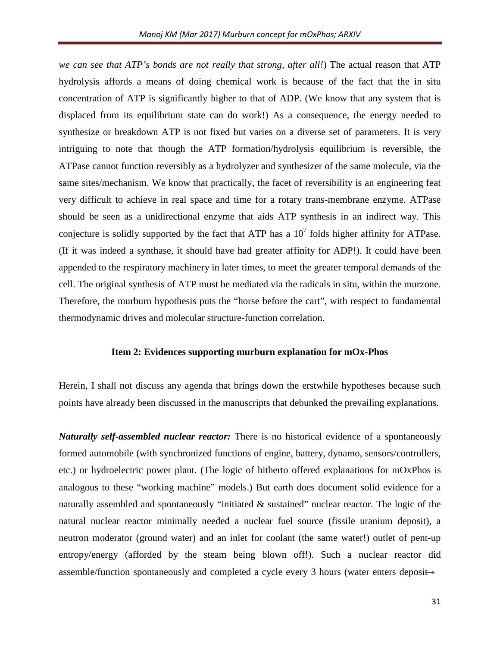*we can see that ATP's bonds are not really that strong, after all!*) The actual reason that ATP hydrolysis affords a means of doing chemical work is because of the fact that the in situ concentration of ATP is significantly higher to that of ADP. (We know that any system that is displaced from its equilibrium state can do work!) As a consequence, the energy needed to synthesize or breakdown ATP is not fixed but varies on a diverse set of parameters. It is very intriguing to note that though the ATP formation/hydrolysis equilibrium is reversible, the ATPase cannot function reversibly as a hydrolyzer and synthesizer of the same molecule, via the same sites/mechanism. We know that practically, the facet of reversibility is an engineering feat very difficult to achieve in real space and time for a rotary trans-membrane enzyme. ATPase should be seen as a unidirectional enzyme that aids ATP synthesis in an indirect way. This conjecture is solidly supported by the fact that ATP has a  $10<sup>7</sup>$  folds higher affinity for ATPase. (If it was indeed a synthase, it should have had greater affinity for ADP!). It could have been appended to the respiratory machinery in later times, to meet the greater temporal demands of the cell. The original synthesis of ATP must be mediated via the radicals in situ, within the murzone. Therefore, the murburn hypothesis puts the "horse before the cart", with respect to fundamental thermodynamic drives and molecular structure-function correlation.

### **Item 2: Evidences supporting murburn explanation for mOx-Phos**

Herein, I shall not discuss any agenda that brings down the erstwhile hypotheses because such points have already been discussed in the manuscripts that debunked the prevailing explanations.

*Naturally self-assembled nuclear reactor:* There is no historical evidence of a spontaneously formed automobile (with synchronized functions of engine, battery, dynamo, sensors/controllers, etc.) or hydroelectric power plant. (The logic of hitherto offered explanations for mOxPhos is analogous to these "working machine" models.) But earth does document solid evidence for a naturally assembled and spontaneously "initiated & sustained" nuclear reactor. The logic of the natural nuclear reactor minimally needed a nuclear fuel source (fissile uranium deposit), a neutron moderator (ground water) and an inlet for coolant (the same water!) outlet of pent-up entropy/energy (afforded by the steam being blown off!). Such a nuclear reactor did assemble/function spontaneously and completed a cycle every 3 hours (water enters deposit $\rightarrow$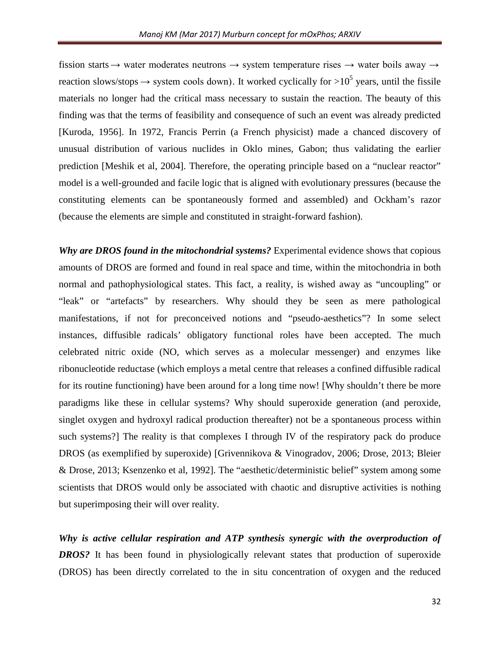fission starts  $\rightarrow$  water moderates neutrons  $\rightarrow$  system temperature rises  $\rightarrow$  water boils away  $\rightarrow$ reaction slows/stops  $\rightarrow$  system cools down). It worked cyclically for  $>10^5$  years, until the fissile materials no longer had the critical mass necessary to sustain the reaction. The beauty of this finding was that the terms of feasibility and consequence of such an event was already predicted [Kuroda, 1956]. In 1972, Francis Perrin (a French physicist) made a chanced discovery of unusual distribution of various nuclides in Oklo mines, Gabon; thus validating the earlier prediction [Meshik et al, 2004]. Therefore, the operating principle based on a "nuclear reactor" model is a well-grounded and facile logic that is aligned with evolutionary pressures (because the constituting elements can be spontaneously formed and assembled) and Ockham's razor (because the elements are simple and constituted in straight-forward fashion).

*Why are DROS found in the mitochondrial systems?* Experimental evidence shows that copious amounts of DROS are formed and found in real space and time, within the mitochondria in both normal and pathophysiological states. This fact, a reality, is wished away as "uncoupling" or "leak" or "artefacts" by researchers. Why should they be seen as mere pathological manifestations, if not for preconceived notions and "pseudo-aesthetics"? In some select instances, diffusible radicals' obligatory functional roles have been accepted. The much celebrated nitric oxide (NO, which serves as a molecular messenger) and enzymes like ribonucleotide reductase (which employs a metal centre that releases a confined diffusible radical for its routine functioning) have been around for a long time now! [Why shouldn't there be more paradigms like these in cellular systems? Why should superoxide generation (and peroxide, singlet oxygen and hydroxyl radical production thereafter) not be a spontaneous process within such systems?] The reality is that complexes I through IV of the respiratory pack do produce DROS (as exemplified by superoxide) [Grivennikova & Vinogradov, 2006; Drose, 2013; Bleier & Drose, 2013; Ksenzenko et al, 1992]. The "aesthetic/deterministic belief" system among some scientists that DROS would only be associated with chaotic and disruptive activities is nothing but superimposing their will over reality.

*Why is active cellular respiration and ATP synthesis synergic with the overproduction of DROS?* It has been found in physiologically relevant states that production of superoxide (DROS) has been directly correlated to the in situ concentration of oxygen and the reduced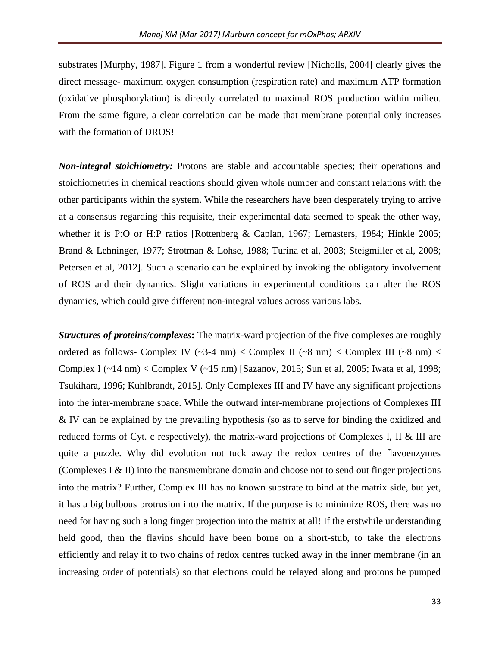substrates [Murphy, 1987]. Figure 1 from a wonderful review [Nicholls, 2004] clearly gives the direct message- maximum oxygen consumption (respiration rate) and maximum ATP formation (oxidative phosphorylation) is directly correlated to maximal ROS production within milieu. From the same figure, a clear correlation can be made that membrane potential only increases with the formation of DROS!

*Non-integral stoichiometry:* Protons are stable and accountable species; their operations and stoichiometries in chemical reactions should given whole number and constant relations with the other participants within the system. While the researchers have been desperately trying to arrive at a consensus regarding this requisite, their experimental data seemed to speak the other way, whether it is P:O or H:P ratios [Rottenberg & Caplan, 1967; Lemasters, 1984; Hinkle 2005; Brand & Lehninger, 1977; Strotman & Lohse, 1988; Turina et al, 2003; Steigmiller et al, 2008; Petersen et al, 2012]. Such a scenario can be explained by invoking the obligatory involvement of ROS and their dynamics. Slight variations in experimental conditions can alter the ROS dynamics, which could give different non-integral values across various labs.

*Structures of proteins/complexes***:** The matrix-ward projection of the five complexes are roughly ordered as follows- Complex IV ( $\sim$ 3-4 nm) < Complex II ( $\sim$ 8 nm) < Complex III ( $\sim$ 8 nm) < Complex I  $(\sim 14 \text{ nm})$  < Complex V  $(\sim 15 \text{ nm})$  [Sazanov, 2015; Sun et al, 2005; Iwata et al, 1998; Tsukihara, 1996; Kuhlbrandt, 2015]. Only Complexes III and IV have any significant projections into the inter-membrane space. While the outward inter-membrane projections of Complexes III & IV can be explained by the prevailing hypothesis (so as to serve for binding the oxidized and reduced forms of Cyt. c respectively), the matrix-ward projections of Complexes I, II & III are quite a puzzle. Why did evolution not tuck away the redox centres of the flavoenzymes (Complexes I & II) into the transmembrane domain and choose not to send out finger projections into the matrix? Further, Complex III has no known substrate to bind at the matrix side, but yet, it has a big bulbous protrusion into the matrix. If the purpose is to minimize ROS, there was no need for having such a long finger projection into the matrix at all! If the erstwhile understanding held good, then the flavins should have been borne on a short-stub, to take the electrons efficiently and relay it to two chains of redox centres tucked away in the inner membrane (in an increasing order of potentials) so that electrons could be relayed along and protons be pumped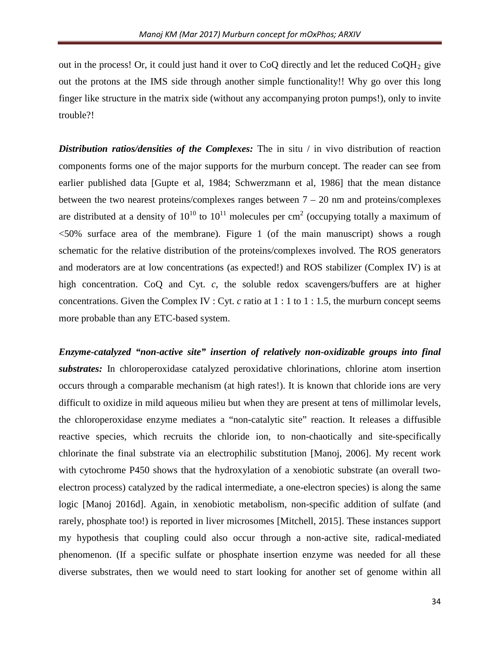out in the process! Or, it could just hand it over to CoQ directly and let the reduced  $CoOH<sub>2</sub>$  give out the protons at the IMS side through another simple functionality!! Why go over this long finger like structure in the matrix side (without any accompanying proton pumps!), only to invite trouble?!

**Distribution ratios/densities of the Complexes:** The in situ / in vivo distribution of reaction components forms one of the major supports for the murburn concept. The reader can see from earlier published data [Gupte et al, 1984; Schwerzmann et al, 1986] that the mean distance between the two nearest proteins/complexes ranges between  $7 - 20$  nm and proteins/complexes are distributed at a density of  $10^{10}$  to  $10^{11}$  molecules per cm<sup>2</sup> (occupying totally a maximum of <50% surface area of the membrane). Figure 1 (of the main manuscript) shows a rough schematic for the relative distribution of the proteins/complexes involved. The ROS generators and moderators are at low concentrations (as expected!) and ROS stabilizer (Complex IV) is at high concentration. CoO and Cyt. *c*, the soluble redox scavengers/buffers are at higher concentrations. Given the Complex IV : Cyt. *c* ratio at 1 : 1 to 1 : 1.5, the murburn concept seems more probable than any ETC-based system.

*Enzyme-catalyzed "non-active site" insertion of relatively non-oxidizable groups into final substrates:* In chloroperoxidase catalyzed peroxidative chlorinations, chlorine atom insertion occurs through a comparable mechanism (at high rates!). It is known that chloride ions are very difficult to oxidize in mild aqueous milieu but when they are present at tens of millimolar levels, the chloroperoxidase enzyme mediates a "non-catalytic site" reaction. It releases a diffusible reactive species, which recruits the chloride ion, to non-chaotically and site-specifically chlorinate the final substrate via an electrophilic substitution [Manoj, 2006]. My recent work with cytochrome P450 shows that the hydroxylation of a xenobiotic substrate (an overall twoelectron process) catalyzed by the radical intermediate, a one-electron species) is along the same logic [Manoj 2016d]. Again, in xenobiotic metabolism, non-specific addition of sulfate (and rarely, phosphate too!) is reported in liver microsomes [Mitchell, 2015]. These instances support my hypothesis that coupling could also occur through a non-active site, radical-mediated phenomenon. (If a specific sulfate or phosphate insertion enzyme was needed for all these diverse substrates, then we would need to start looking for another set of genome within all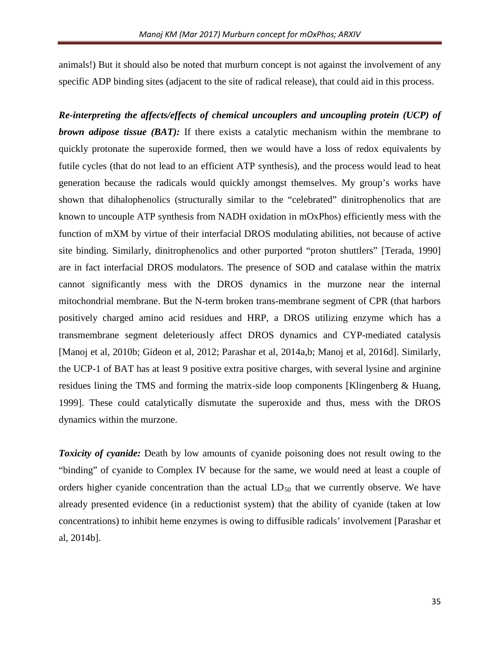animals!) But it should also be noted that murburn concept is not against the involvement of any specific ADP binding sites (adjacent to the site of radical release), that could aid in this process.

*Re-interpreting the affects/effects of chemical uncouplers and uncoupling protein (UCP) of brown adipose tissue (BAT):* If there exists a catalytic mechanism within the membrane to quickly protonate the superoxide formed, then we would have a loss of redox equivalents by futile cycles (that do not lead to an efficient ATP synthesis), and the process would lead to heat generation because the radicals would quickly amongst themselves. My group's works have shown that dihalophenolics (structurally similar to the "celebrated" dinitrophenolics that are known to uncouple ATP synthesis from NADH oxidation in mOxPhos) efficiently mess with the function of mXM by virtue of their interfacial DROS modulating abilities, not because of active site binding. Similarly, dinitrophenolics and other purported "proton shuttlers" [Terada, 1990] are in fact interfacial DROS modulators. The presence of SOD and catalase within the matrix cannot significantly mess with the DROS dynamics in the murzone near the internal mitochondrial membrane. But the N-term broken trans-membrane segment of CPR (that harbors positively charged amino acid residues and HRP, a DROS utilizing enzyme which has a transmembrane segment deleteriously affect DROS dynamics and CYP-mediated catalysis [Manoj et al, 2010b; Gideon et al, 2012; Parashar et al, 2014a,b; Manoj et al, 2016d]. Similarly, the UCP-1 of BAT has at least 9 positive extra positive charges, with several lysine and arginine residues lining the TMS and forming the matrix-side loop components [Klingenberg & Huang, 1999]. These could catalytically dismutate the superoxide and thus, mess with the DROS dynamics within the murzone.

**Toxicity of cyanide:** Death by low amounts of cyanide poisoning does not result owing to the "binding" of cyanide to Complex IV because for the same, we would need at least a couple of orders higher cyanide concentration than the actual  $LD_{50}$  that we currently observe. We have already presented evidence (in a reductionist system) that the ability of cyanide (taken at low concentrations) to inhibit heme enzymes is owing to diffusible radicals' involvement [Parashar et al, 2014b].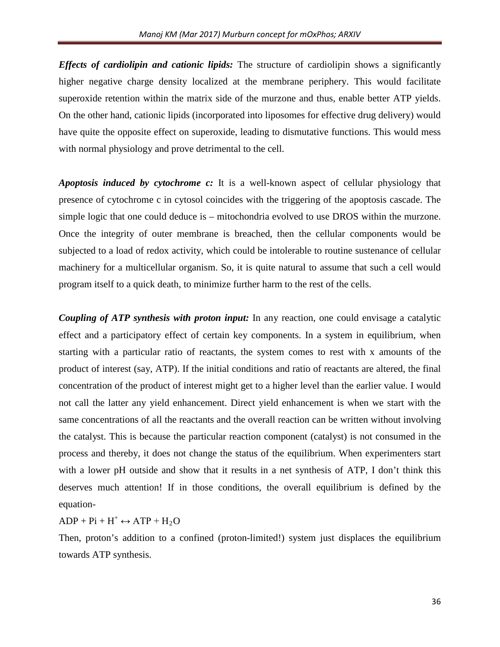*Effects of cardiolipin and cationic lipids:* The structure of cardiolipin shows a significantly higher negative charge density localized at the membrane periphery. This would facilitate superoxide retention within the matrix side of the murzone and thus, enable better ATP yields. On the other hand, cationic lipids (incorporated into liposomes for effective drug delivery) would have quite the opposite effect on superoxide, leading to dismutative functions. This would mess with normal physiology and prove detrimental to the cell.

*Apoptosis induced by cytochrome c:* It is a well-known aspect of cellular physiology that presence of cytochrome c in cytosol coincides with the triggering of the apoptosis cascade. The simple logic that one could deduce is – mitochondria evolved to use DROS within the murzone. Once the integrity of outer membrane is breached, then the cellular components would be subjected to a load of redox activity, which could be intolerable to routine sustenance of cellular machinery for a multicellular organism. So, it is quite natural to assume that such a cell would program itself to a quick death, to minimize further harm to the rest of the cells.

*Coupling of ATP synthesis with proton input:* In any reaction, one could envisage a catalytic effect and a participatory effect of certain key components. In a system in equilibrium, when starting with a particular ratio of reactants, the system comes to rest with x amounts of the product of interest (say, ATP). If the initial conditions and ratio of reactants are altered, the final concentration of the product of interest might get to a higher level than the earlier value. I would not call the latter any yield enhancement. Direct yield enhancement is when we start with the same concentrations of all the reactants and the overall reaction can be written without involving the catalyst. This is because the particular reaction component (catalyst) is not consumed in the process and thereby, it does not change the status of the equilibrium. When experimenters start with a lower pH outside and show that it results in a net synthesis of ATP, I don't think this deserves much attention! If in those conditions, the overall equilibrium is defined by the equation-

 $ADP + Pi + H^+ \leftrightarrow ATP + H_2O$ 

Then, proton's addition to a confined (proton-limited!) system just displaces the equilibrium towards ATP synthesis.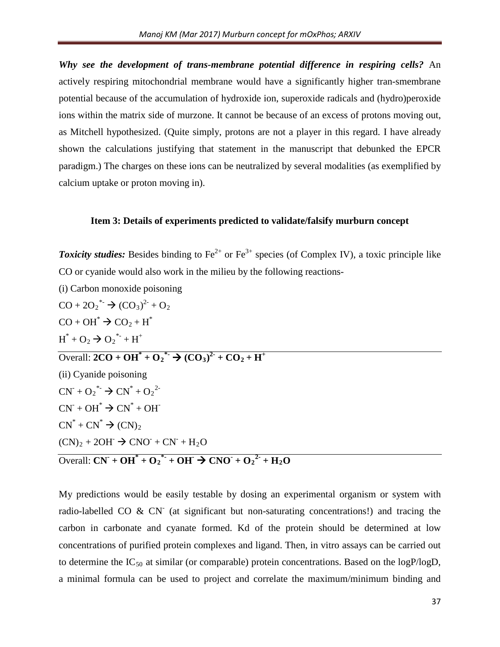*Why see the development of trans-membrane potential difference in respiring cells?* An actively respiring mitochondrial membrane would have a significantly higher tran-smembrane potential because of the accumulation of hydroxide ion, superoxide radicals and (hydro)peroxide ions within the matrix side of murzone. It cannot be because of an excess of protons moving out, as Mitchell hypothesized. (Quite simply, protons are not a player in this regard. I have already shown the calculations justifying that statement in the manuscript that debunked the EPCR paradigm.) The charges on these ions can be neutralized by several modalities (as exemplified by calcium uptake or proton moving in).

#### **Item 3: Details of experiments predicted to validate/falsify murburn concept**

**Toxicity studies:** Besides binding to Fe<sup>2+</sup> or Fe<sup>3+</sup> species (of Complex IV), a toxic principle like CO or cyanide would also work in the milieu by the following reactions-

(i) Carbon monoxide poisoning

 $CO + 2O_2^* \rightarrow (CO_3)^2 + O_2$  $CO + OH^* \rightarrow CO_2 + H^*$  $H^* + O_2 \rightarrow O_2^{*} + H^+$  $\overline{\text{Overall: } 2\text{CO} + \text{OH}^* + \text{O}_2}^* \rightarrow (\text{CO}_3)^2 + \text{CO}_2 + \text{H}^+$ (ii) Cyanide poisoning  $CN^+ + O_2^* \rightarrow CN^* + O_2^2$  $CN^+ + OH^* \rightarrow CN^* + OH^ CN^* + CN^* \rightarrow (CN)_2$  $(CN)_2 + 2OH^- \rightarrow CNO^- + CN^- + H_2O$ 

 $\overline{\text{Overall: CN} + \text{OH}^* + \text{O}_2^* + \text{OH}^*} \rightarrow \overline{\text{CNO}^* + \text{O}_2^2^* + \text{H}_2\text{O}}$ 

My predictions would be easily testable by dosing an experimental organism or system with radio-labelled CO  $\&$  CN<sup>-</sup> (at significant but non-saturating concentrations!) and tracing the carbon in carbonate and cyanate formed. Kd of the protein should be determined at low concentrations of purified protein complexes and ligand. Then, in vitro assays can be carried out to determine the  $IC_{50}$  at similar (or comparable) protein concentrations. Based on the logP/logD, a minimal formula can be used to project and correlate the maximum/minimum binding and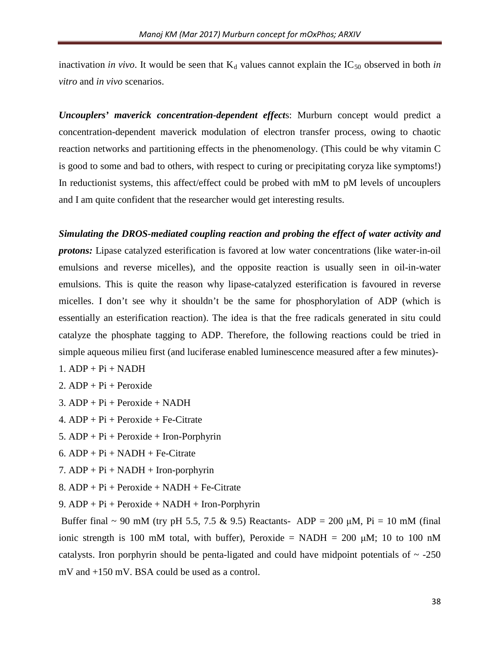inactivation *in vivo*. It would be seen that  $K_d$  values cannot explain the  $IC_{50}$  observed in both *in vitro* and *in vivo* scenarios.

*Uncouplers' maverick concentration-dependent effect*s: Murburn concept would predict a concentration-dependent maverick modulation of electron transfer process, owing to chaotic reaction networks and partitioning effects in the phenomenology. (This could be why vitamin C is good to some and bad to others, with respect to curing or precipitating coryza like symptoms!) In reductionist systems, this affect/effect could be probed with mM to pM levels of uncouplers and I am quite confident that the researcher would get interesting results.

*Simulating the DROS-mediated coupling reaction and probing the effect of water activity and protons:* Lipase catalyzed esterification is favored at low water concentrations (like water-in-oil emulsions and reverse micelles), and the opposite reaction is usually seen in oil-in-water emulsions. This is quite the reason why lipase-catalyzed esterification is favoured in reverse micelles. I don't see why it shouldn't be the same for phosphorylation of ADP (which is essentially an esterification reaction). The idea is that the free radicals generated in situ could catalyze the phosphate tagging to ADP. Therefore, the following reactions could be tried in simple aqueous milieu first (and luciferase enabled luminescence measured after a few minutes)-

- $1.$  ADP + Pi + NADH
- 2.  $ADP + Pi + Peroxide$
- 3. ADP + Pi + Peroxide + NADH
- 4.  $ADP + Pi + Peroxide + Fe-Citrate$
- 5. ADP + Pi + Peroxide + Iron-Porphyrin
- $6.$  ADP + Pi + NADH + Fe-Citrate
- $7.$  ADP + Pi + NADH + Iron-porphyrin
- 8.  $ADP + Pi + Peroxide + NADH + Fe-Citrate$
- 9. ADP + Pi + Peroxide + NADH + Iron-Porphyrin

Buffer final ~ 90 mM (try pH 5.5, 7.5 & 9.5) Reactants- ADP = 200  $\mu$ M, Pi = 10 mM (final ionic strength is 100 mM total, with buffer), Peroxide = NADH =  $200 \mu M$ ; 10 to 100 nM catalysts. Iron porphyrin should be penta-ligated and could have midpoint potentials of  $\sim$  -250 mV and +150 mV. BSA could be used as a control.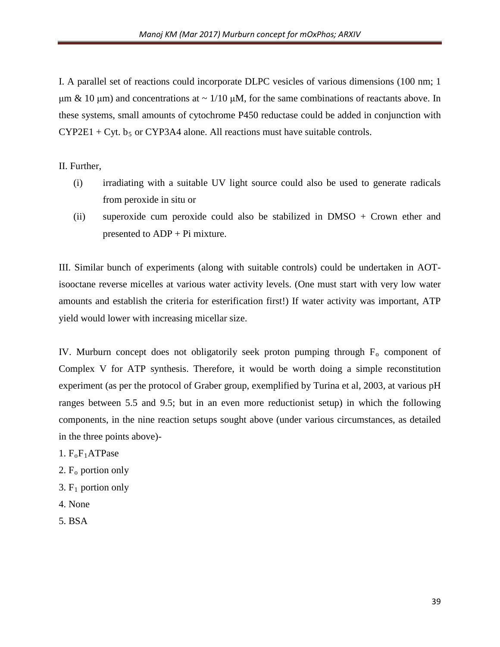I. A parallel set of reactions could incorporate DLPC vesicles of various dimensions (100 nm; 1 μm & 10 μm) and concentrations at  $\sim$  1/10 μM, for the same combinations of reactants above. In these systems, small amounts of cytochrome P450 reductase could be added in conjunction with  $CYP2E1 + Cyt.$  b<sub>5</sub> or CYP3A4 alone. All reactions must have suitable controls.

II. Further,

- (i) irradiating with a suitable UV light source could also be used to generate radicals from peroxide in situ or
- (ii) superoxide cum peroxide could also be stabilized in  $DMSO + Crown$  ether and presented to ADP + Pi mixture.

III. Similar bunch of experiments (along with suitable controls) could be undertaken in AOTisooctane reverse micelles at various water activity levels. (One must start with very low water amounts and establish the criteria for esterification first!) If water activity was important, ATP yield would lower with increasing micellar size.

IV. Murburn concept does not obligatorily seek proton pumping through  $F_0$  component of Complex V for ATP synthesis. Therefore, it would be worth doing a simple reconstitution experiment (as per the protocol of Graber group, exemplified by Turina et al, 2003, at various pH ranges between 5.5 and 9.5; but in an even more reductionist setup) in which the following components, in the nine reaction setups sought above (under various circumstances, as detailed in the three points above)-

- 1.  $F_0F_1ATP$ ase
- 2. F o portion only
- 3. F 1 portion only
- 4. None
- 5. BSA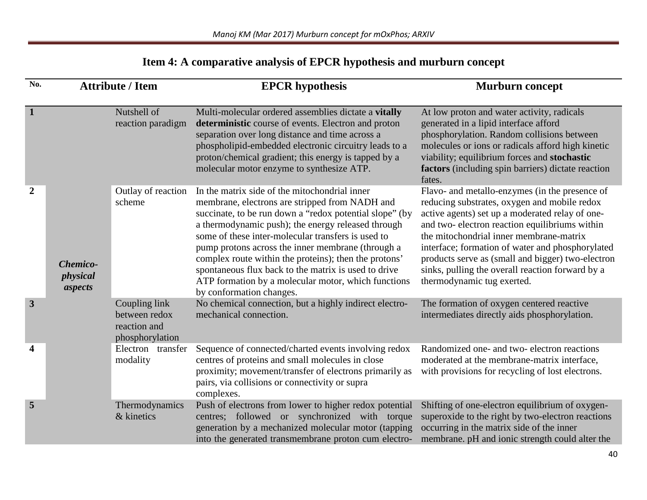# *Manoj KM (Mar 2017) Murburn concept for mOxPhos; ARXIV*

| Item 4: A comparative analysis of EPCR hypothesis and murburn concept |  |  |
|-----------------------------------------------------------------------|--|--|
|                                                                       |  |  |

| No.                     | <b>Attribute / Item</b>         |                                                                   | <b>EPCR</b> hypothesis                                                                                                                                                                                                                                                                                                                                                                                                                                                                                                          | <b>Murburn concept</b>                                                                                                                                                                                                                                                                                                                                                                                                                   |  |
|-------------------------|---------------------------------|-------------------------------------------------------------------|---------------------------------------------------------------------------------------------------------------------------------------------------------------------------------------------------------------------------------------------------------------------------------------------------------------------------------------------------------------------------------------------------------------------------------------------------------------------------------------------------------------------------------|------------------------------------------------------------------------------------------------------------------------------------------------------------------------------------------------------------------------------------------------------------------------------------------------------------------------------------------------------------------------------------------------------------------------------------------|--|
| $\mathbf{1}$            |                                 | Nutshell of<br>reaction paradigm                                  | Multi-molecular ordered assemblies dictate a vitally<br>deterministic course of events. Electron and proton<br>separation over long distance and time across a<br>phospholipid-embedded electronic circuitry leads to a<br>proton/chemical gradient; this energy is tapped by a<br>molecular motor enzyme to synthesize ATP.                                                                                                                                                                                                    | At low proton and water activity, radicals<br>generated in a lipid interface afford<br>phosphorylation. Random collisions between<br>molecules or ions or radicals afford high kinetic<br>viability; equilibrium forces and stochastic<br>factors (including spin barriers) dictate reaction<br>fates.                                                                                                                                   |  |
| $\overline{2}$          | Chemico-<br>physical<br>aspects | Outlay of reaction<br>scheme                                      | In the matrix side of the mitochondrial inner<br>membrane, electrons are stripped from NADH and<br>succinate, to be run down a "redox potential slope" (by<br>a thermodynamic push); the energy released through<br>some of these inter-molecular transfers is used to<br>pump protons across the inner membrane (through a<br>complex route within the proteins); then the protons'<br>spontaneous flux back to the matrix is used to drive<br>ATP formation by a molecular motor, which functions<br>by conformation changes. | Flavo- and metallo-enzymes (in the presence of<br>reducing substrates, oxygen and mobile redox<br>active agents) set up a moderated relay of one-<br>and two-electron reaction equilibriums within<br>the mitochondrial inner membrane-matrix<br>interface; formation of water and phosphorylated<br>products serve as (small and bigger) two-electron<br>sinks, pulling the overall reaction forward by a<br>thermodynamic tug exerted. |  |
| $\mathbf{3}$            |                                 | Coupling link<br>between redox<br>reaction and<br>phosphorylation | No chemical connection, but a highly indirect electro-<br>mechanical connection.                                                                                                                                                                                                                                                                                                                                                                                                                                                | The formation of oxygen centered reactive<br>intermediates directly aids phosphorylation.                                                                                                                                                                                                                                                                                                                                                |  |
| $\overline{\mathbf{4}}$ |                                 | Electron transfer<br>modality                                     | Sequence of connected/charted events involving redox<br>centres of proteins and small molecules in close<br>proximity; movement/transfer of electrons primarily as<br>pairs, via collisions or connectivity or supra<br>complexes.                                                                                                                                                                                                                                                                                              | Randomized one- and two- electron reactions<br>moderated at the membrane-matrix interface,<br>with provisions for recycling of lost electrons.                                                                                                                                                                                                                                                                                           |  |
| 5                       |                                 | Thermodynamics<br>& kinetics                                      | Push of electrons from lower to higher redox potential<br>centres; followed or synchronized with torque<br>generation by a mechanized molecular motor (tapping<br>into the generated transmembrane proton cum electro-                                                                                                                                                                                                                                                                                                          | Shifting of one-electron equilibrium of oxygen-<br>superoxide to the right by two-electron reactions<br>occurring in the matrix side of the inner<br>membrane. pH and ionic strength could alter the                                                                                                                                                                                                                                     |  |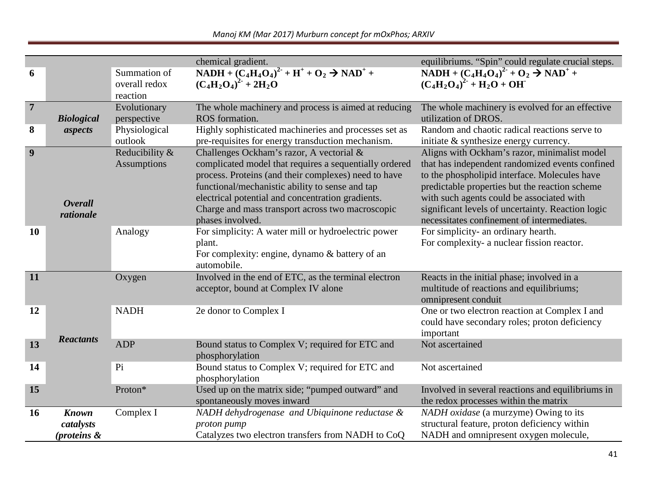|                |                                          |                                           | chemical gradient.                                                                                                                                                                                                                                                                                                                         | equilibriums. "Spin" could regulate crucial steps.                                                                                                                                                                                                                                                                                                 |
|----------------|------------------------------------------|-------------------------------------------|--------------------------------------------------------------------------------------------------------------------------------------------------------------------------------------------------------------------------------------------------------------------------------------------------------------------------------------------|----------------------------------------------------------------------------------------------------------------------------------------------------------------------------------------------------------------------------------------------------------------------------------------------------------------------------------------------------|
| 6              |                                          | Summation of<br>overall redox<br>reaction | $NADH + (C_4H_4O_4)^2 + H^+ + O_2 \rightarrow NAD^+ +$<br>$(C_4H_2O_4)^2 + 2H_2O$                                                                                                                                                                                                                                                          | NADH + $(C_4H_4O_4)^2$ <sup>+</sup> + $O_2 \rightarrow NAD^+$ +<br>$(C_4H_2O_4)^2$ <sup>2</sup> + H <sub>2</sub> O + OH                                                                                                                                                                                                                            |
| $\overline{7}$ | <b>Biological</b>                        | Evolutionary<br>perspective               | The whole machinery and process is aimed at reducing<br>ROS formation.                                                                                                                                                                                                                                                                     | The whole machinery is evolved for an effective<br>utilization of DROS.                                                                                                                                                                                                                                                                            |
| 8              | aspects                                  | Physiological<br>outlook                  | Highly sophisticated machineries and processes set as<br>pre-requisites for energy transduction mechanism.                                                                                                                                                                                                                                 | Random and chaotic radical reactions serve to<br>initiate & synthesize energy currency.                                                                                                                                                                                                                                                            |
| 9              | <b>Overall</b><br>rationale              | Reducibility &<br><b>Assumptions</b>      | Challenges Ockham's razor, A vectorial &<br>complicated model that requires a sequentially ordered<br>process. Proteins (and their complexes) need to have<br>functional/mechanistic ability to sense and tap<br>electrical potential and concentration gradients.<br>Charge and mass transport across two macroscopic<br>phases involved. | Aligns with Ockham's razor, minimalist model<br>that has independent randomized events confined<br>to the phospholipid interface. Molecules have<br>predictable properties but the reaction scheme<br>with such agents could be associated with<br>significant levels of uncertainty. Reaction logic<br>necessitates confinement of intermediates. |
| <b>10</b>      |                                          | Analogy                                   | For simplicity: A water mill or hydroelectric power<br>plant.<br>For complexity: engine, dynamo & battery of an<br>automobile.                                                                                                                                                                                                             | For simplicity- an ordinary hearth.<br>For complexity- a nuclear fission reactor.                                                                                                                                                                                                                                                                  |
| 11             |                                          | Oxygen                                    | Involved in the end of ETC, as the terminal electron<br>acceptor, bound at Complex IV alone                                                                                                                                                                                                                                                | Reacts in the initial phase; involved in a<br>multitude of reactions and equilibriums;<br>omnipresent conduit                                                                                                                                                                                                                                      |
| 12             |                                          | <b>NADH</b>                               | 2e donor to Complex I                                                                                                                                                                                                                                                                                                                      | One or two electron reaction at Complex I and<br>could have secondary roles; proton deficiency<br>important                                                                                                                                                                                                                                        |
| 13             | <b>Reactants</b>                         | <b>ADP</b>                                | Bound status to Complex V; required for ETC and<br>phosphorylation                                                                                                                                                                                                                                                                         | Not ascertained                                                                                                                                                                                                                                                                                                                                    |
| 14             |                                          | Pi                                        | Bound status to Complex V; required for ETC and<br>phosphorylation                                                                                                                                                                                                                                                                         | Not ascertained                                                                                                                                                                                                                                                                                                                                    |
| 15             |                                          | Proton*                                   | Used up on the matrix side; "pumped outward" and<br>spontaneously moves inward                                                                                                                                                                                                                                                             | Involved in several reactions and equilibriums in<br>the redox processes within the matrix                                                                                                                                                                                                                                                         |
| <b>16</b>      | <b>Known</b><br>catalysts<br>(proteins & | Complex I                                 | NADH dehydrogenase and Ubiquinone reductase &<br>proton pump<br>Catalyzes two electron transfers from NADH to CoQ                                                                                                                                                                                                                          | NADH oxidase (a murzyme) Owing to its<br>structural feature, proton deficiency within<br>NADH and omnipresent oxygen molecule,                                                                                                                                                                                                                     |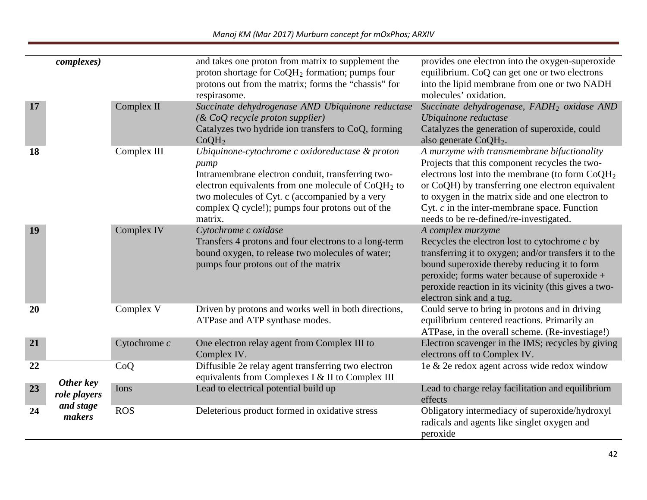|           | <i>complexes</i> )        |                | and takes one proton from matrix to supplement the<br>proton shortage for CoQH <sub>2</sub> formation; pumps four<br>protons out from the matrix; forms the "chassis" for<br>respirasome.                                                                                             | provides one electron into the oxygen-superoxide<br>equilibrium. CoQ can get one or two electrons<br>into the lipid membrane from one or two NADH<br>molecules' oxidation.                                                                                                                                                                              |
|-----------|---------------------------|----------------|---------------------------------------------------------------------------------------------------------------------------------------------------------------------------------------------------------------------------------------------------------------------------------------|---------------------------------------------------------------------------------------------------------------------------------------------------------------------------------------------------------------------------------------------------------------------------------------------------------------------------------------------------------|
| 17        |                           | Complex II     | Succinate dehydrogenase AND Ubiquinone reductase<br>(& CoQ recycle proton supplier)<br>Catalyzes two hydride ion transfers to CoQ, forming<br>CoOH <sub>2</sub>                                                                                                                       | Succinate dehydrogenase, FADH <sub>2</sub> oxidase AND<br>Ubiquinone reductase<br>Catalyzes the generation of superoxide, could<br>also generate $CoQH2$ .                                                                                                                                                                                              |
| <b>18</b> |                           | Complex III    | Ubiquinone-cytochrome c oxidoreductase & proton<br>pump<br>Intramembrane electron conduit, transferring two-<br>electron equivalents from one molecule of $CoQH2$ to<br>two molecules of Cyt. c (accompanied by a very<br>complex Q cycle!); pumps four protons out of the<br>matrix. | A murzyme with transmembrane bifuctionality<br>Projects that this component recycles the two-<br>electrons lost into the membrane (to form $CoQH2$<br>or CoQH) by transferring one electron equivalent<br>to oxygen in the matrix side and one electron to<br>Cyt. $c$ in the inter-membrane space. Function<br>needs to be re-defined/re-investigated. |
| 19        |                           | Complex IV     | Cytochrome c oxidase<br>Transfers 4 protons and four electrons to a long-term<br>bound oxygen, to release two molecules of water;<br>pumps four protons out of the matrix                                                                                                             | A complex murzyme<br>Recycles the electron lost to cytochrome $c$ by<br>transferring it to oxygen; and/or transfers it to the<br>bound superoxide thereby reducing it to form<br>peroxide; forms water because of superoxide +<br>peroxide reaction in its vicinity (this gives a two-<br>electron sink and a tug.                                      |
| 20        |                           | Complex V      | Driven by protons and works well in both directions,<br>ATPase and ATP synthase modes.                                                                                                                                                                                                | Could serve to bring in protons and in driving<br>equilibrium centered reactions. Primarily an<br>ATPase, in the overall scheme. (Re-investiage!)                                                                                                                                                                                                       |
| 21        |                           | Cytochrome $c$ | One electron relay agent from Complex III to<br>Complex IV.                                                                                                                                                                                                                           | Electron scavenger in the IMS; recycles by giving<br>electrons off to Complex IV.                                                                                                                                                                                                                                                                       |
| 22        | Other key                 | CoQ            | Diffusible 2e relay agent transferring two electron<br>equivalents from Complexes I & II to Complex III                                                                                                                                                                               | le & 2e redox agent across wide redox window                                                                                                                                                                                                                                                                                                            |
| 23        | role players<br>and stage | Ions           | Lead to electrical potential build up                                                                                                                                                                                                                                                 | Lead to charge relay facilitation and equilibrium<br>effects                                                                                                                                                                                                                                                                                            |
| 24        | makers                    | <b>ROS</b>     | Deleterious product formed in oxidative stress                                                                                                                                                                                                                                        | Obligatory intermediacy of superoxide/hydroxyl<br>radicals and agents like singlet oxygen and<br>peroxide                                                                                                                                                                                                                                               |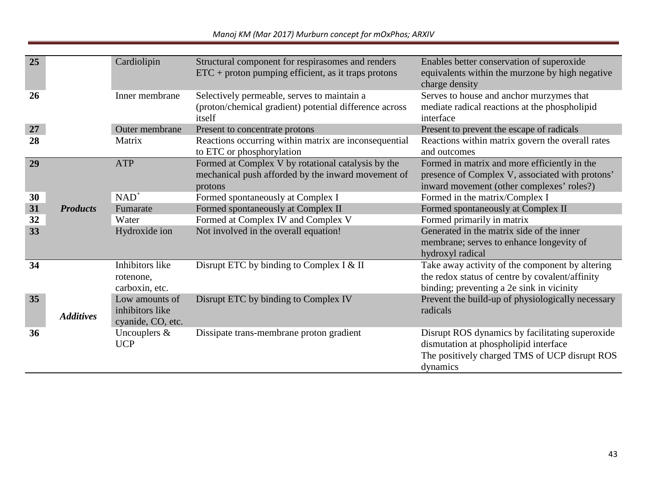| 25 |                  | Cardiolipin                                            | Structural component for respirasomes and renders<br>$ETC + proton$ pumping efficient, as it traps protons          | Enables better conservation of superoxide<br>equivalents within the murzone by high negative<br>charge density                                        |
|----|------------------|--------------------------------------------------------|---------------------------------------------------------------------------------------------------------------------|-------------------------------------------------------------------------------------------------------------------------------------------------------|
| 26 |                  | Inner membrane                                         | Selectively permeable, serves to maintain a<br>(proton/chemical gradient) potential difference across<br>itself     | Serves to house and anchor murzymes that<br>mediate radical reactions at the phospholipid<br>interface                                                |
| 27 |                  | Outer membrane                                         | Present to concentrate protons                                                                                      | Present to prevent the escape of radicals                                                                                                             |
| 28 |                  | Matrix                                                 | Reactions occurring within matrix are inconsequential<br>to ETC or phosphorylation                                  | Reactions within matrix govern the overall rates<br>and outcomes                                                                                      |
| 29 |                  | <b>ATP</b>                                             | Formed at Complex V by rotational catalysis by the<br>mechanical push afforded by the inward movement of<br>protons | Formed in matrix and more efficiently in the<br>presence of Complex V, associated with protons'<br>inward movement (other complexes' roles?)          |
| 30 |                  | $NAD^+$                                                | Formed spontaneously at Complex I                                                                                   | Formed in the matrix/Complex I                                                                                                                        |
| 31 | <b>Products</b>  | Fumarate                                               | Formed spontaneously at Complex II                                                                                  | Formed spontaneously at Complex II                                                                                                                    |
| 32 |                  | Water                                                  | Formed at Complex IV and Complex V                                                                                  | Formed primarily in matrix                                                                                                                            |
| 33 |                  | Hydroxide ion                                          | Not involved in the overall equation!                                                                               | Generated in the matrix side of the inner<br>membrane; serves to enhance longevity of<br>hydroxyl radical                                             |
| 34 |                  | Inhibitors like<br>rotenone,<br>carboxin, etc.         | Disrupt ETC by binding to Complex I & II                                                                            | Take away activity of the component by altering<br>the redox status of centre by covalent/affinity<br>binding; preventing a 2e sink in vicinity       |
| 35 | <b>Additives</b> | Low amounts of<br>inhibitors like<br>cyanide, CO, etc. | Disrupt ETC by binding to Complex IV                                                                                | Prevent the build-up of physiologically necessary<br>radicals                                                                                         |
| 36 |                  | Uncouplers $\&$<br><b>UCP</b>                          | Dissipate trans-membrane proton gradient                                                                            | Disrupt ROS dynamics by facilitating superoxide<br>dismutation at phospholipid interface<br>The positively charged TMS of UCP disrupt ROS<br>dynamics |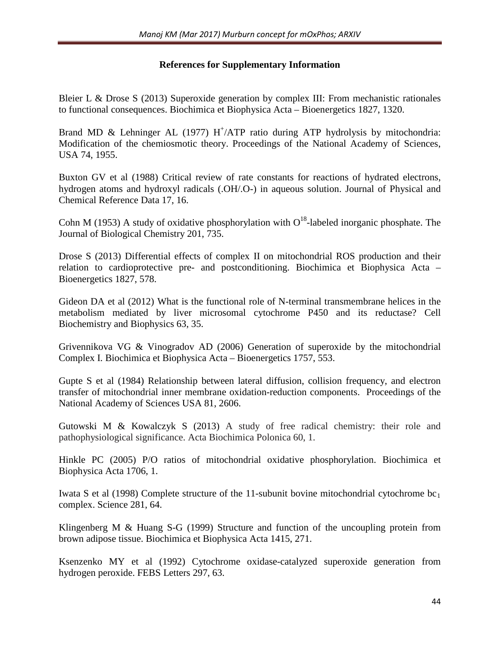## **References for Supplementary Information**

Bleier L & Drose S (2013) Superoxide generation by complex III: From mechanistic rationales to functional consequences. Biochimica et Biophysica Acta – Bioenergetics 1827, 1320.

Brand MD & Lehninger AL (1977)  $H^+/ATP$  ratio during ATP hydrolysis by mitochondria: Modification of the chemiosmotic theory. Proceedings of the National Academy of Sciences, USA 74, 1955.

Buxton GV et al (1988) Critical review of rate constants for reactions of hydrated electrons, hydrogen atoms and hydroxyl radicals (.OH/.O-) in aqueous solution. Journal of Physical and Chemical Reference Data 17, 16.

Cohn M (1953) A study of oxidative phosphorylation with  $O<sup>18</sup>$ -labeled inorganic phosphate. The Journal of Biological Chemistry 201, 735.

Drose S (2013) Differential effects of complex II on mitochondrial ROS production and their relation to cardioprotective pre- and postconditioning. Biochimica et Biophysica Acta – Bioenergetics 1827, 578.

Gideon DA et al (2012) What is the functional role of N-terminal transmembrane helices in the metabolism mediated by liver microsomal cytochrome P450 and its reductase? Cell Biochemistry and Biophysics 63, 35.

Grivennikova VG & Vinogradov AD (2006) Generation of superoxide by the mitochondrial Complex I. Biochimica et Biophysica Acta – Bioenergetics 1757, 553.

Gupte S et al (1984) Relationship between lateral diffusion, collision frequency, and electron transfer of mitochondrial inner membrane oxidation-reduction components. Proceedings of the National Academy of Sciences USA 81, 2606.

Gutowski M & Kowalczyk S (2013) A study of free radical chemistry: their role and pathophysiological significance. Acta Biochimica Polonica 60, 1.

Hinkle PC (2005) P/O ratios of mitochondrial oxidative phosphorylation. Biochimica et Biophysica Acta 1706, 1.

Iwata S et al (1998) Complete structure of the 11-subunit bovine mitochondrial cytochrome  $bc_1$ complex. Science 281, 64.

Klingenberg M & Huang S-G (1999) Structure and function of the uncoupling protein from brown adipose tissue. Biochimica et Biophysica Acta 1415, 271.

Ksenzenko MY et al (1992) Cytochrome oxidase-catalyzed superoxide generation from hydrogen peroxide. FEBS Letters 297, 63.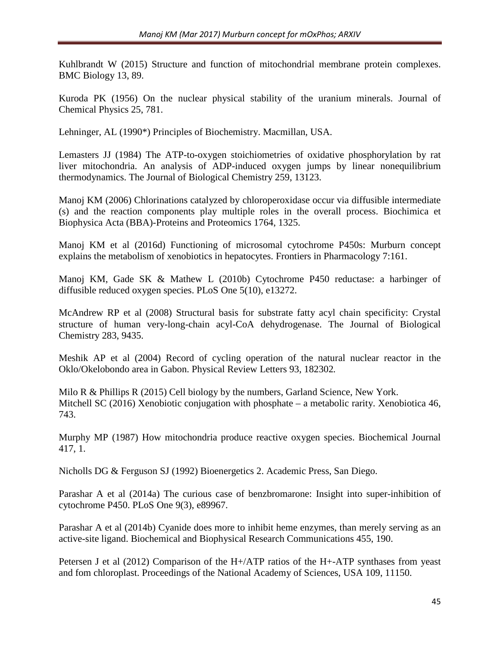Kuhlbrandt W (2015) Structure and function of mitochondrial membrane protein complexes. BMC Biology 13, 89.

Kuroda PK (1956) On the nuclear physical stability of the uranium minerals. Journal of Chemical Physics 25, 781.

Lehninger, AL (1990\*) Principles of Biochemistry. Macmillan, USA.

Lemasters JJ (1984) The ATP-to-oxygen stoichiometries of oxidative phosphorylation by rat liver mitochondria. An analysis of ADP-induced oxygen jumps by linear nonequilibrium thermodynamics. The Journal of Biological Chemistry 259, 13123.

Manoj KM (2006) Chlorinations catalyzed by chloroperoxidase occur via diffusible intermediate (s) and the reaction components play multiple roles in the overall process. Biochimica et Biophysica Acta (BBA)-Proteins and Proteomics 1764, 1325.

Manoj KM et al (2016d) Functioning of microsomal cytochrome P450s: Murburn concept explains the metabolism of xenobiotics in hepatocytes. Frontiers in Pharmacology 7:161.

Manoj KM, Gade SK & Mathew L (2010b) Cytochrome P450 reductase: a harbinger of diffusible reduced oxygen species. PLoS One 5(10), e13272.

McAndrew RP et al (2008) Structural basis for substrate fatty acyl chain specificity: Crystal structure of human very-long-chain acyl-CoA dehydrogenase. The Journal of Biological Chemistry 283, 9435.

Meshik AP et al (2004) Record of cycling operation of the natural nuclear reactor in the Oklo/Okelobondo area in Gabon. [Physical Review Letters](https://en.wikipedia.org/wiki/Physical_Review_Letters) 93, 182302*.*

Milo R & Phillips R (2015) Cell biology by the numbers, Garland Science, New York. Mitchell SC (2016) Xenobiotic conjugation with phosphate – a metabolic rarity. Xenobiotica 46, 743.

Murphy MP (1987) How mitochondria produce reactive oxygen species. Biochemical Journal 417, 1.

Nicholls DG & Ferguson SJ (1992) Bioenergetics 2. Academic Press, San Diego.

Parashar A et al (2014a) The curious case of benzbromarone: Insight into super-inhibition of cytochrome P450. PLoS One 9(3), e89967.

Parashar A et al (2014b) Cyanide does more to inhibit heme enzymes, than merely serving as an active-site ligand. Biochemical and Biophysical Research Communications 455, 190.

Petersen J et al (2012) Comparison of the H+/ATP ratios of the H+-ATP synthases from yeast and fom chloroplast. Proceedings of the National Academy of Sciences, USA 109, 11150.